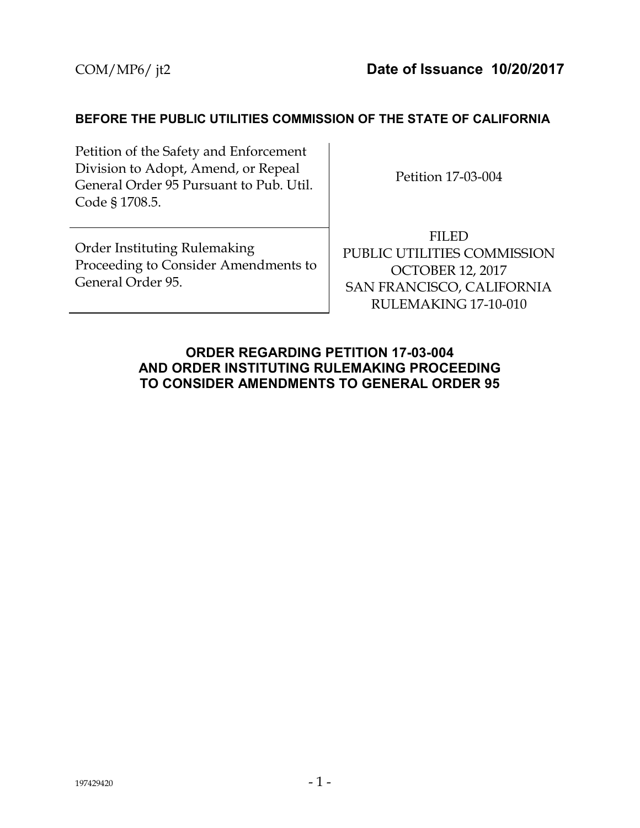#### **BEFORE THE PUBLIC UTILITIES COMMISSION OF THE STATE OF CALIFORNIA**

Petition of the Safety and Enforcement Division to Adopt, Amend, or Repeal General Order 95 Pursuant to Pub. Util. Code § 1708.5.

Petition 17-03-004

Order Instituting Rulemaking Proceeding to Consider Amendments to General Order 95.

FILED PUBLIC UTILITIES COMMISSION OCTOBER 12, 2017 SAN FRANCISCO, CALIFORNIA RULEMAKING 17-10-010

#### **ORDER REGARDING PETITION 17-03-004 AND ORDER INSTITUTING RULEMAKING PROCEEDING TO CONSIDER AMENDMENTS TO GENERAL ORDER 95**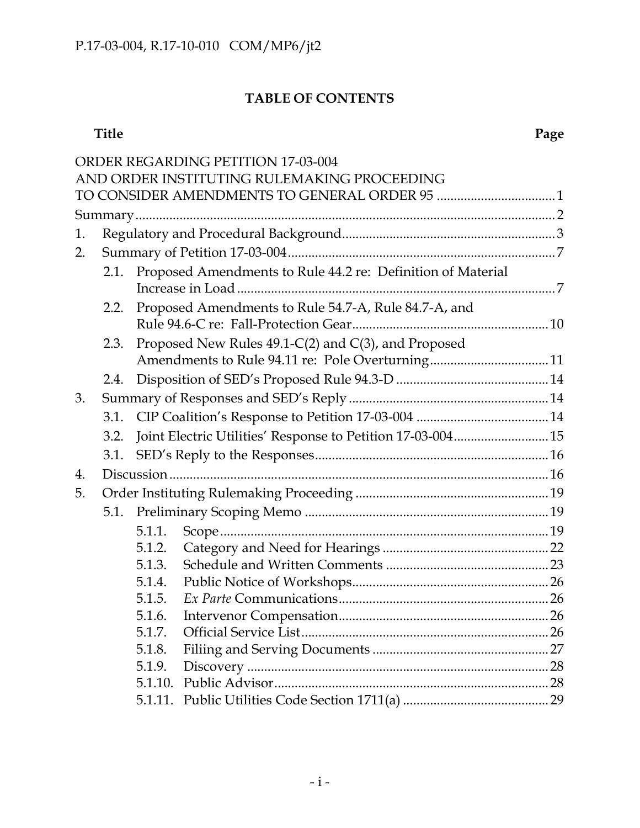# **TABLE OF CONTENTS**

#### **Title Page**

|    |      |        | ORDER REGARDING PETITION 17-03-004<br>AND ORDER INSTITUTING RULEMAKING PROCEEDING |  |
|----|------|--------|-----------------------------------------------------------------------------------|--|
|    |      |        |                                                                                   |  |
|    |      |        |                                                                                   |  |
| 1. |      |        |                                                                                   |  |
| 2. |      |        |                                                                                   |  |
|    | 2.1. |        | Proposed Amendments to Rule 44.2 re: Definition of Material                       |  |
|    | 2.2. |        | Proposed Amendments to Rule 54.7-A, Rule 84.7-A, and                              |  |
|    | 2.3. |        | Proposed New Rules 49.1-C(2) and C(3), and Proposed                               |  |
|    | 2.4. |        |                                                                                   |  |
| 3. |      |        |                                                                                   |  |
|    | 3.1. |        |                                                                                   |  |
|    | 3.2. |        | Joint Electric Utilities' Response to Petition 17-03-004 15                       |  |
|    | 3.1. |        |                                                                                   |  |
| 4. |      |        |                                                                                   |  |
| 5. |      |        |                                                                                   |  |
|    |      |        |                                                                                   |  |
|    |      | 5.1.1. |                                                                                   |  |
|    |      | 5.1.2. |                                                                                   |  |
|    |      | 5.1.3. |                                                                                   |  |
|    |      | 5.1.4. |                                                                                   |  |
|    |      | 5.1.5. |                                                                                   |  |
|    |      |        |                                                                                   |  |
|    |      | 5.1.7. |                                                                                   |  |
|    |      | 5.1.8. |                                                                                   |  |
|    |      | 5.1.9. |                                                                                   |  |
|    |      |        |                                                                                   |  |
|    |      |        |                                                                                   |  |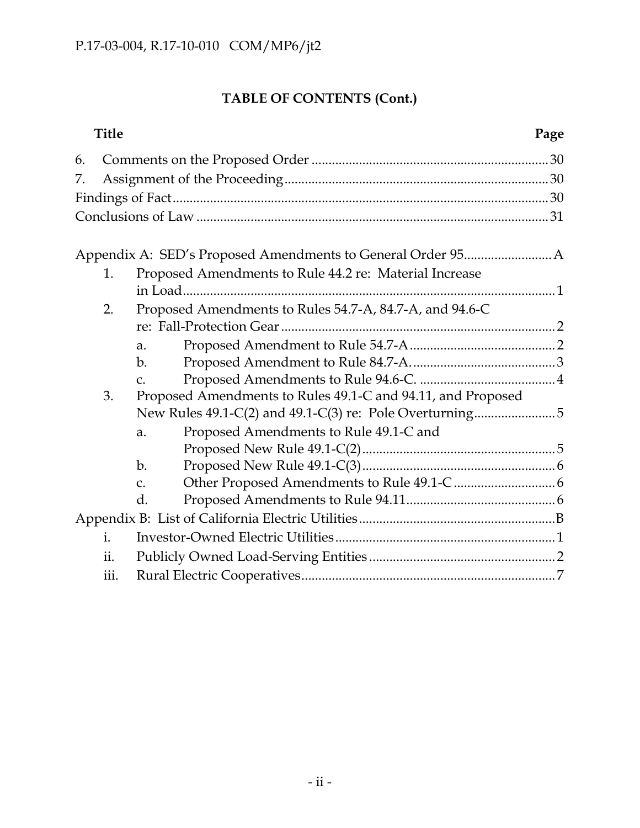# **TABLE OF CONTENTS (Cont.)**

| <b>Title</b>   |                 |                                                             | Page |
|----------------|-----------------|-------------------------------------------------------------|------|
| 6.             |                 |                                                             |      |
| 7.             |                 |                                                             |      |
|                |                 |                                                             |      |
|                |                 |                                                             |      |
|                |                 |                                                             |      |
|                |                 |                                                             |      |
| 1.             |                 | Proposed Amendments to Rule 44.2 re: Material Increase      |      |
|                |                 |                                                             |      |
| 2.             |                 | Proposed Amendments to Rules 54.7-A, 84.7-A, and 94.6-C     |      |
|                |                 |                                                             |      |
|                | a.              |                                                             |      |
|                | $\mathbf{b}$ .  |                                                             |      |
|                | $\mathcal{C}$ . |                                                             |      |
| 3.             |                 | Proposed Amendments to Rules 49.1-C and 94.11, and Proposed |      |
|                |                 |                                                             |      |
|                | a.              | Proposed Amendments to Rule 49.1-C and                      |      |
|                |                 |                                                             |      |
|                | $\mathbf{b}$ .  |                                                             |      |
|                | C.              |                                                             |      |
|                | d.              |                                                             |      |
|                |                 |                                                             |      |
| $\mathbf{i}$ . |                 |                                                             |      |
| ii.            |                 |                                                             |      |
| iii.           |                 |                                                             |      |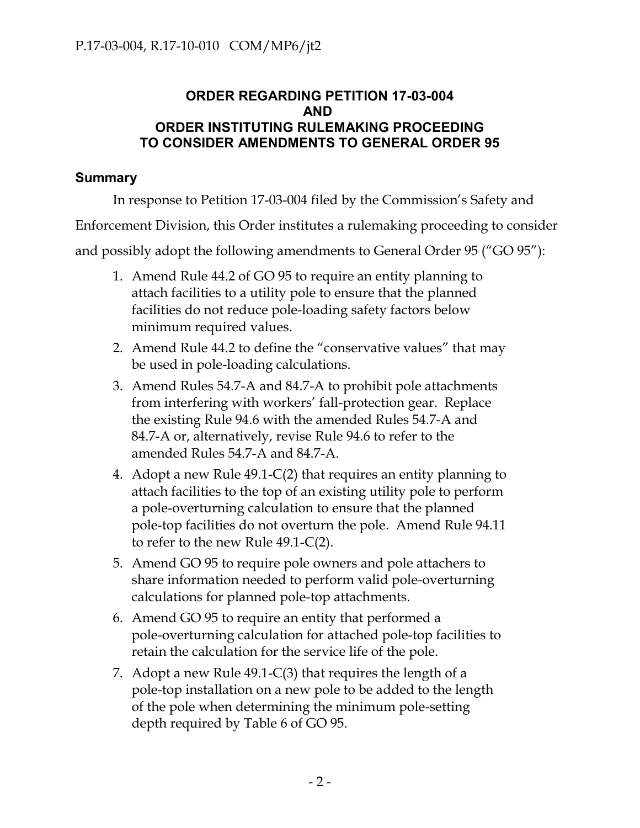### **ORDER REGARDING PETITION 17-03-004 AND ORDER INSTITUTING RULEMAKING PROCEEDING TO CONSIDER AMENDMENTS TO GENERAL ORDER 95**

## **Summary**

In response to Petition 17-03-004 filed by the Commission's Safety and

Enforcement Division, this Order institutes a rulemaking proceeding to consider

and possibly adopt the following amendments to General Order 95 ("GO 95"):

- 1. Amend Rule 44.2 of GO 95 to require an entity planning to attach facilities to a utility pole to ensure that the planned facilities do not reduce pole-loading safety factors below minimum required values.
- 2. Amend Rule 44.2 to define the "conservative values" that may be used in pole-loading calculations.
- 3. Amend Rules 54.7-A and 84.7-A to prohibit pole attachments from interfering with workers' fall-protection gear. Replace the existing Rule 94.6 with the amended Rules 54.7-A and 84.7-A or, alternatively, revise Rule 94.6 to refer to the amended Rules 54.7-A and 84.7-A.
- 4. Adopt a new Rule 49.1-C(2) that requires an entity planning to attach facilities to the top of an existing utility pole to perform a pole-overturning calculation to ensure that the planned pole-top facilities do not overturn the pole. Amend Rule 94.11 to refer to the new Rule 49.1-C(2).
- 5. Amend GO 95 to require pole owners and pole attachers to share information needed to perform valid pole-overturning calculations for planned pole-top attachments.
- 6. Amend GO 95 to require an entity that performed a pole-overturning calculation for attached pole-top facilities to retain the calculation for the service life of the pole.
- 7. Adopt a new Rule 49.1-C(3) that requires the length of a pole-top installation on a new pole to be added to the length of the pole when determining the minimum pole-setting depth required by Table 6 of GO 95.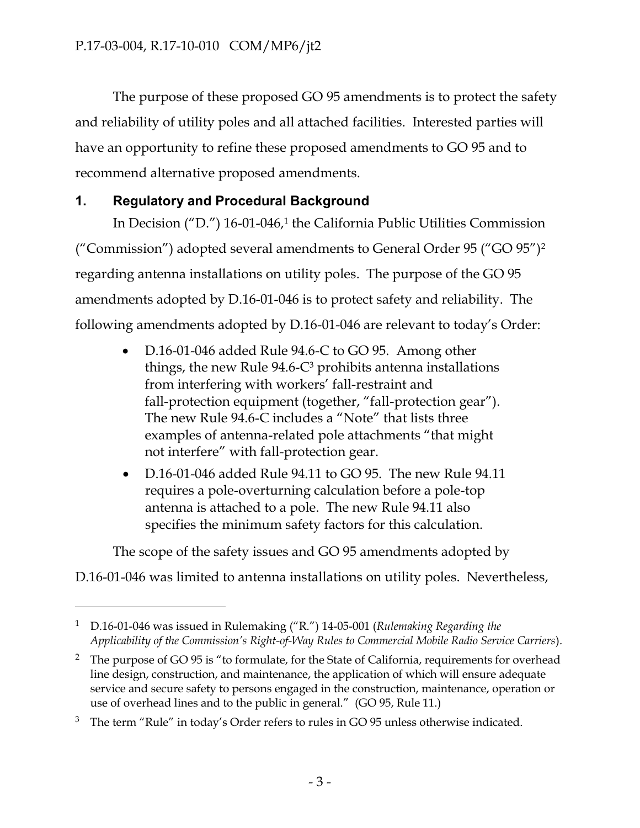The purpose of these proposed GO 95 amendments is to protect the safety and reliability of utility poles and all attached facilities. Interested parties will have an opportunity to refine these proposed amendments to GO 95 and to recommend alternative proposed amendments.

## **1. Regulatory and Procedural Background**

 $\overline{a}$ 

In Decision ("D.") 16-01-046,<sup>1</sup> the California Public Utilities Commission ("Commission") adopted several amendments to General Order 95 ("GO 95")<sup>2</sup> regarding antenna installations on utility poles. The purpose of the GO 95 amendments adopted by D.16-01-046 is to protect safety and reliability. The following amendments adopted by D.16-01-046 are relevant to today's Order:

- D.16-01-046 added Rule 94.6-C to GO 95. Among other things, the new Rule  $94.6\text{-}C^3$  prohibits antenna installations from interfering with workers' fall-restraint and fall-protection equipment (together, "fall-protection gear"). The new Rule 94.6-C includes a "Note" that lists three examples of antenna-related pole attachments "that might not interfere" with fall-protection gear.
- D.16-01-046 added Rule 94.11 to GO 95. The new Rule 94.11 requires a pole-overturning calculation before a pole-top antenna is attached to a pole. The new Rule 94.11 also specifies the minimum safety factors for this calculation.

The scope of the safety issues and GO 95 amendments adopted by

D.16-01-046 was limited to antenna installations on utility poles. Nevertheless,

<sup>1</sup> D.16-01-046 was issued in Rulemaking ("R.") 14-05-001 (*Rulemaking Regarding the Applicability of the Commission's Right-of-Way Rules to Commercial Mobile Radio Service Carriers*).

<sup>&</sup>lt;sup>2</sup> The purpose of GO 95 is "to formulate, for the State of California, requirements for overhead line design, construction, and maintenance, the application of which will ensure adequate service and secure safety to persons engaged in the construction, maintenance, operation or use of overhead lines and to the public in general." (GO 95, Rule 11.)

 $3$  The term "Rule" in today's Order refers to rules in GO 95 unless otherwise indicated.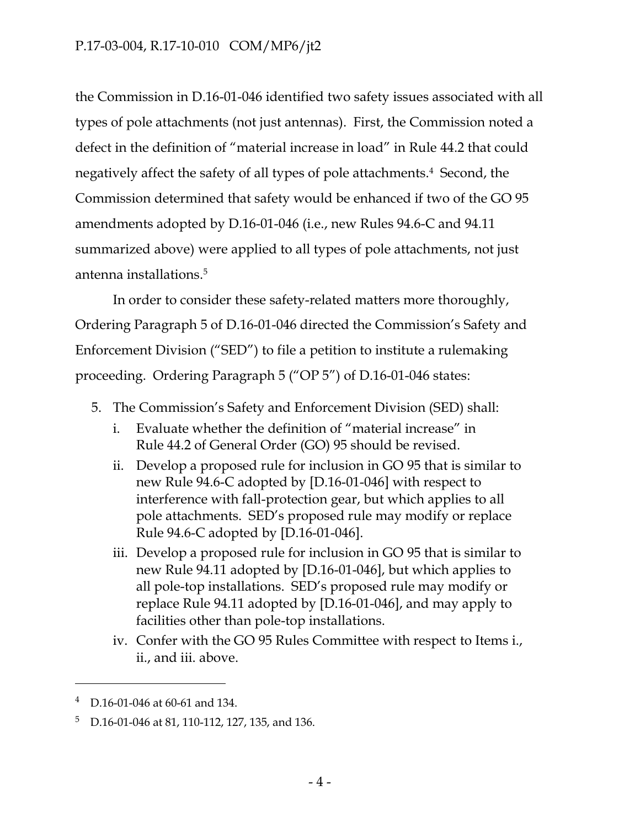the Commission in D.16-01-046 identified two safety issues associated with all types of pole attachments (not just antennas). First, the Commission noted a defect in the definition of "material increase in load" in Rule 44.2 that could negatively affect the safety of all types of pole attachments.<sup>4</sup> Second, the Commission determined that safety would be enhanced if two of the GO 95 amendments adopted by D.16-01-046 (i.e., new Rules 94.6-C and 94.11 summarized above) were applied to all types of pole attachments, not just antenna installations. 5

In order to consider these safety-related matters more thoroughly, Ordering Paragraph 5 of D.16-01-046 directed the Commission's Safety and Enforcement Division ("SED") to file a petition to institute a rulemaking proceeding. Ordering Paragraph 5 ("OP 5") of D.16-01-046 states:

- 5. The Commission's Safety and Enforcement Division (SED) shall:
	- i. Evaluate whether the definition of "material increase" in Rule 44.2 of General Order (GO) 95 should be revised.
	- ii. Develop a proposed rule for inclusion in GO 95 that is similar to new Rule 94.6-C adopted by [D.16-01-046] with respect to interference with fall-protection gear, but which applies to all pole attachments. SED's proposed rule may modify or replace Rule 94.6-C adopted by [D.16-01-046].
	- iii. Develop a proposed rule for inclusion in GO 95 that is similar to new Rule 94.11 adopted by [D.16-01-046], but which applies to all pole-top installations. SED's proposed rule may modify or replace Rule 94.11 adopted by [D.16-01-046], and may apply to facilities other than pole-top installations.
	- iv. Confer with the GO 95 Rules Committee with respect to Items i., ii., and iii. above.

 $\overline{a}$ 

D.16-01-046 at 60-61 and 134.

<sup>5</sup> D.16-01-046 at 81, 110-112, 127, 135, and 136.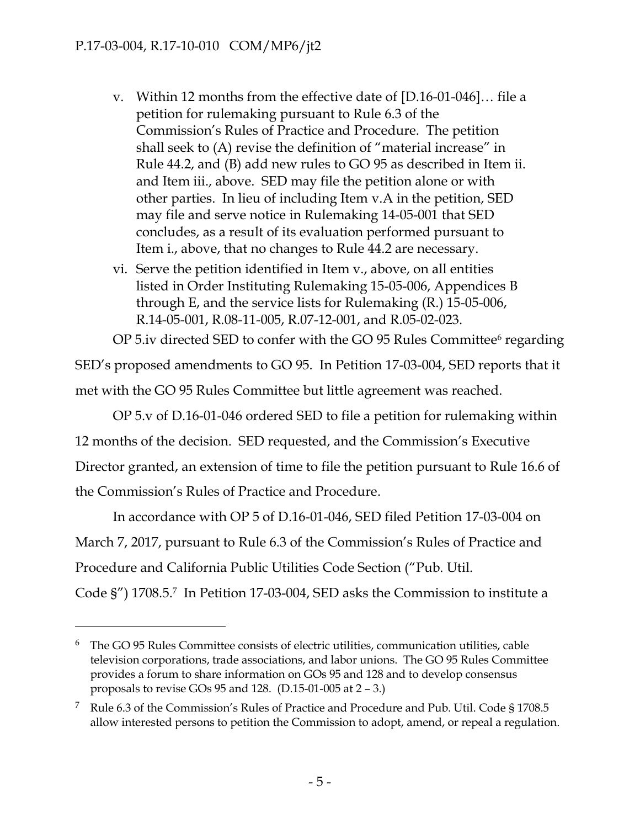$\overline{a}$ 

- v. Within 12 months from the effective date of [D.16-01-046]… file a petition for rulemaking pursuant to Rule 6.3 of the Commission's Rules of Practice and Procedure. The petition shall seek to (A) revise the definition of "material increase" in Rule 44.2, and (B) add new rules to GO 95 as described in Item ii. and Item iii., above. SED may file the petition alone or with other parties. In lieu of including Item v.A in the petition, SED may file and serve notice in Rulemaking 14-05-001 that SED concludes, as a result of its evaluation performed pursuant to Item i., above, that no changes to Rule 44.2 are necessary.
- vi. Serve the petition identified in Item v., above, on all entities listed in Order Instituting Rulemaking 15-05-006, Appendices B through E, and the service lists for Rulemaking (R.) 15-05-006, R.14-05-001, R.08-11-005, R.07-12-001, and R.05-02-023.

OP 5.iv directed SED to confer with the GO 95 Rules Committee $\epsilon$  regarding

SED's proposed amendments to GO 95. In Petition 17-03-004, SED reports that it met with the GO 95 Rules Committee but little agreement was reached.

OP 5.v of D.16-01-046 ordered SED to file a petition for rulemaking within 12 months of the decision. SED requested, and the Commission's Executive Director granted, an extension of time to file the petition pursuant to Rule 16.6 of the Commission's Rules of Practice and Procedure.

In accordance with OP 5 of D.16-01-046, SED filed Petition 17-03-004 on March 7, 2017, pursuant to Rule 6.3 of the Commission's Rules of Practice and Procedure and California Public Utilities Code Section ("Pub. Util.

Code §") 1708.5. 7 In Petition 17-03-004, SED asks the Commission to institute a

 $6$  The GO 95 Rules Committee consists of electric utilities, communication utilities, cable television corporations, trade associations, and labor unions. The GO 95 Rules Committee provides a forum to share information on GOs 95 and 128 and to develop consensus proposals to revise GOs 95 and 128. (D.15-01-005 at 2 – 3.)

<sup>7</sup> Rule 6.3 of the Commission's Rules of Practice and Procedure and Pub. Util. Code § 1708.5 allow interested persons to petition the Commission to adopt, amend, or repeal a regulation.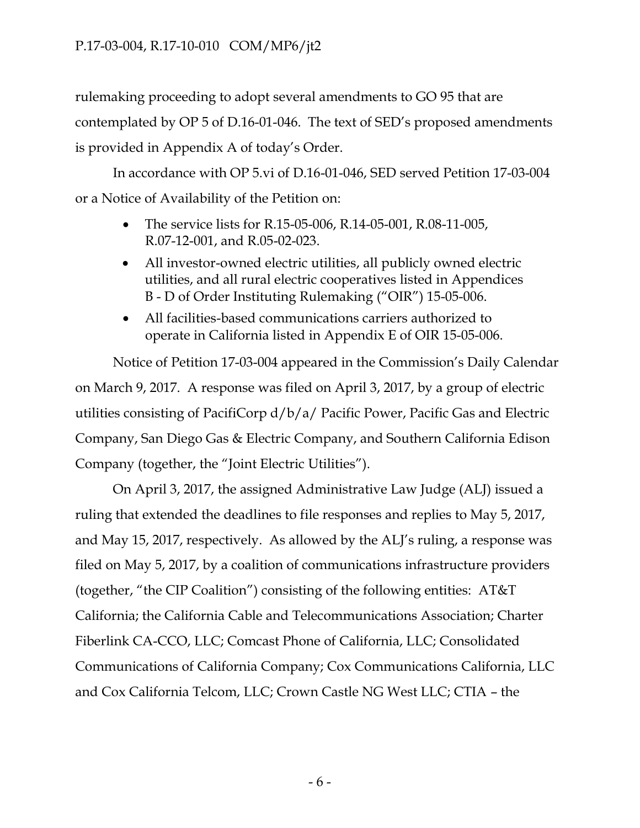rulemaking proceeding to adopt several amendments to GO 95 that are contemplated by OP 5 of D.16-01-046. The text of SED's proposed amendments is provided in Appendix A of today's Order.

In accordance with OP 5.vi of D.16-01-046, SED served Petition 17-03-004 or a Notice of Availability of the Petition on:

- The service lists for R.15-05-006, R.14-05-001, R.08-11-005, R.07-12-001, and R.05-02-023.
- All investor-owned electric utilities, all publicly owned electric utilities, and all rural electric cooperatives listed in Appendices B - D of Order Instituting Rulemaking ("OIR") 15-05-006.
- All facilities-based communications carriers authorized to operate in California listed in Appendix E of OIR 15-05-006.

Notice of Petition 17-03-004 appeared in the Commission's Daily Calendar on March 9, 2017. A response was filed on April 3, 2017, by a group of electric utilities consisting of PacifiCorp d/b/a/ Pacific Power, Pacific Gas and Electric Company, San Diego Gas & Electric Company, and Southern California Edison Company (together, the "Joint Electric Utilities").

On April 3, 2017, the assigned Administrative Law Judge (ALJ) issued a ruling that extended the deadlines to file responses and replies to May 5, 2017, and May 15, 2017, respectively. As allowed by the ALJ's ruling, a response was filed on May 5, 2017, by a coalition of communications infrastructure providers (together, "the CIP Coalition") consisting of the following entities: AT&T California; the California Cable and Telecommunications Association; Charter Fiberlink CA-CCO, LLC; Comcast Phone of California, LLC; Consolidated Communications of California Company; Cox Communications California, LLC and Cox California Telcom, LLC; Crown Castle NG West LLC; CTIA – the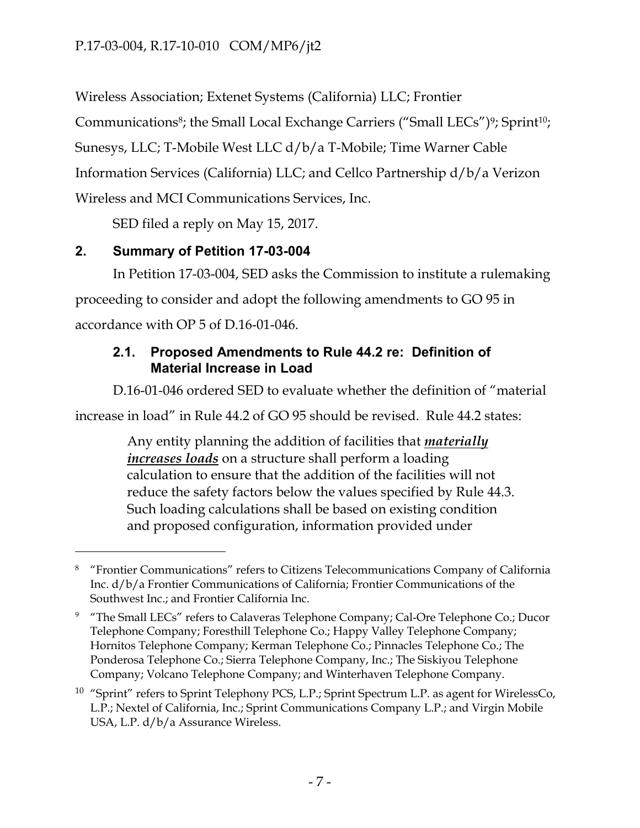Wireless Association; Extenet Systems (California) LLC; Frontier

Communications<sup>8</sup>; the Small Local Exchange Carriers ("Small LECs")<sup>9</sup>; Sprint<sup>10</sup>;

Sunesys, LLC; T-Mobile West LLC d/b/a T-Mobile; Time Warner Cable

Information Services (California) LLC; and Cellco Partnership d/b/a Verizon

Wireless and MCI Communications Services, Inc.

SED filed a reply on May 15, 2017.

## **2. Summary of Petition 17-03-004**

 $\overline{a}$ 

In Petition 17-03-004, SED asks the Commission to institute a rulemaking proceeding to consider and adopt the following amendments to GO 95 in accordance with OP 5 of D.16-01-046.

## **2.1. Proposed Amendments to Rule 44.2 re: Definition of Material Increase in Load**

D.16-01-046 ordered SED to evaluate whether the definition of "material

increase in load" in Rule 44.2 of GO 95 should be revised. Rule 44.2 states:

Any entity planning the addition of facilities that *materially increases loads* on a structure shall perform a loading calculation to ensure that the addition of the facilities will not reduce the safety factors below the values specified by Rule 44.3. Such loading calculations shall be based on existing condition and proposed configuration, information provided under

<sup>&</sup>lt;sup>8</sup> "Frontier Communications" refers to Citizens Telecommunications Company of California Inc. d/b/a Frontier Communications of California; Frontier Communications of the Southwest Inc.; and Frontier California Inc.

<sup>&</sup>lt;sup>9</sup> "The Small LECs" refers to Calaveras Telephone Company; Cal-Ore Telephone Co.; Ducor Telephone Company; Foresthill Telephone Co.; Happy Valley Telephone Company; Hornitos Telephone Company; Kerman Telephone Co.; Pinnacles Telephone Co.; The Ponderosa Telephone Co.; Sierra Telephone Company, Inc.; The Siskiyou Telephone Company; Volcano Telephone Company; and Winterhaven Telephone Company.

<sup>&</sup>lt;sup>10</sup> "Sprint" refers to Sprint Telephony PCS, L.P.; Sprint Spectrum L.P. as agent for WirelessCo, L.P.; Nextel of California, Inc.; Sprint Communications Company L.P.; and Virgin Mobile USA, L.P. d/b/a Assurance Wireless.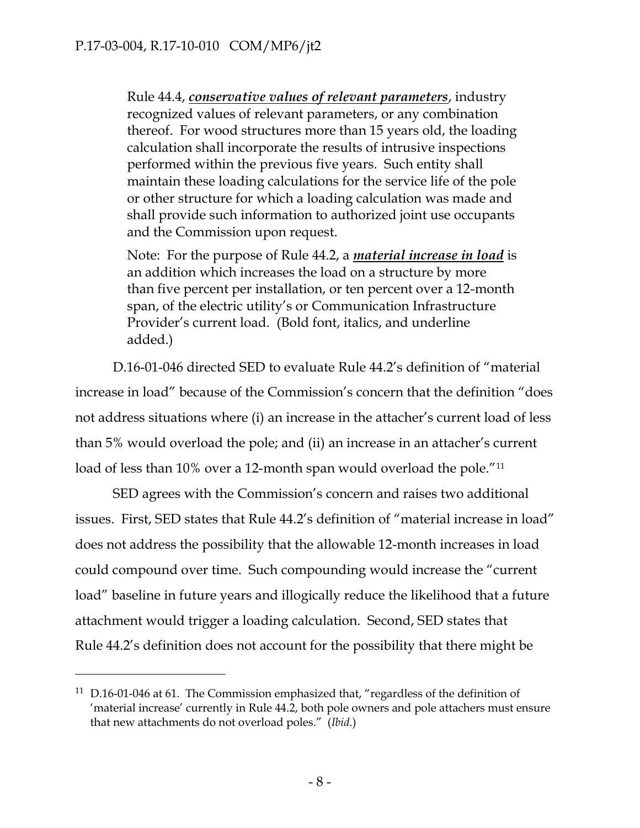Rule 44.4, *conservative values of relevant parameters*, industry recognized values of relevant parameters, or any combination thereof. For wood structures more than 15 years old, the loading calculation shall incorporate the results of intrusive inspections performed within the previous five years. Such entity shall maintain these loading calculations for the service life of the pole or other structure for which a loading calculation was made and shall provide such information to authorized joint use occupants and the Commission upon request.

Note: For the purpose of Rule 44.2, a *material increase in load* is an addition which increases the load on a structure by more than five percent per installation, or ten percent over a 12-month span, of the electric utility's or Communication Infrastructure Provider's current load. (Bold font, italics, and underline added.)

D.16-01-046 directed SED to evaluate Rule 44.2's definition of "material increase in load" because of the Commission's concern that the definition "does not address situations where (i) an increase in the attacher's current load of less than 5% would overload the pole; and (ii) an increase in an attacher's current load of less than 10% over a 12-month span would overload the pole."<sup>11</sup>

SED agrees with the Commission's concern and raises two additional issues. First, SED states that Rule 44.2's definition of "material increase in load" does not address the possibility that the allowable 12-month increases in load could compound over time. Such compounding would increase the "current load" baseline in future years and illogically reduce the likelihood that a future attachment would trigger a loading calculation. Second, SED states that Rule 44.2's definition does not account for the possibility that there might be

 $\overline{a}$ 

<sup>&</sup>lt;sup>11</sup> D.16-01-046 at 61. The Commission emphasized that, "regardless of the definition of 'material increase' currently in Rule 44.2, both pole owners and pole attachers must ensure that new attachments do not overload poles." (*Ibid*.)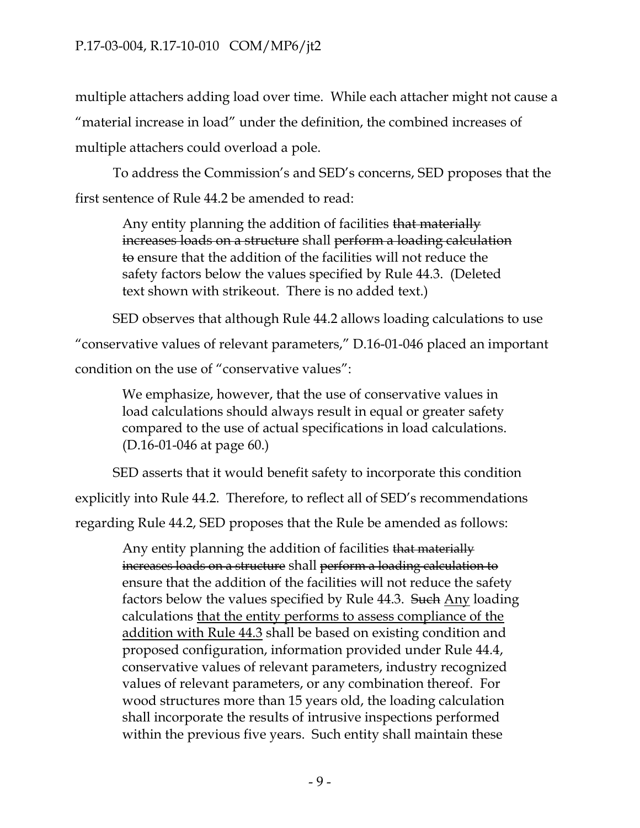multiple attachers adding load over time. While each attacher might not cause a "material increase in load" under the definition, the combined increases of multiple attachers could overload a pole.

To address the Commission's and SED's concerns, SED proposes that the first sentence of Rule 44.2 be amended to read:

Any entity planning the addition of facilities that materially increases loads on a structure shall perform a loading calculation to ensure that the addition of the facilities will not reduce the safety factors below the values specified by Rule 44.3. (Deleted text shown with strikeout. There is no added text.)

SED observes that although Rule 44.2 allows loading calculations to use

"conservative values of relevant parameters," D.16-01-046 placed an important

condition on the use of "conservative values":

We emphasize, however, that the use of conservative values in load calculations should always result in equal or greater safety compared to the use of actual specifications in load calculations. (D.16-01-046 at page 60.)

SED asserts that it would benefit safety to incorporate this condition

explicitly into Rule 44.2. Therefore, to reflect all of SED's recommendations

regarding Rule 44.2, SED proposes that the Rule be amended as follows:

Any entity planning the addition of facilities that materially increases loads on a structure shall perform a loading calculation to ensure that the addition of the facilities will not reduce the safety factors below the values specified by Rule 44.3. Such Any loading calculations that the entity performs to assess compliance of the addition with Rule 44.3 shall be based on existing condition and proposed configuration, information provided under Rule 44.4, conservative values of relevant parameters, industry recognized values of relevant parameters, or any combination thereof. For wood structures more than 15 years old, the loading calculation shall incorporate the results of intrusive inspections performed within the previous five years. Such entity shall maintain these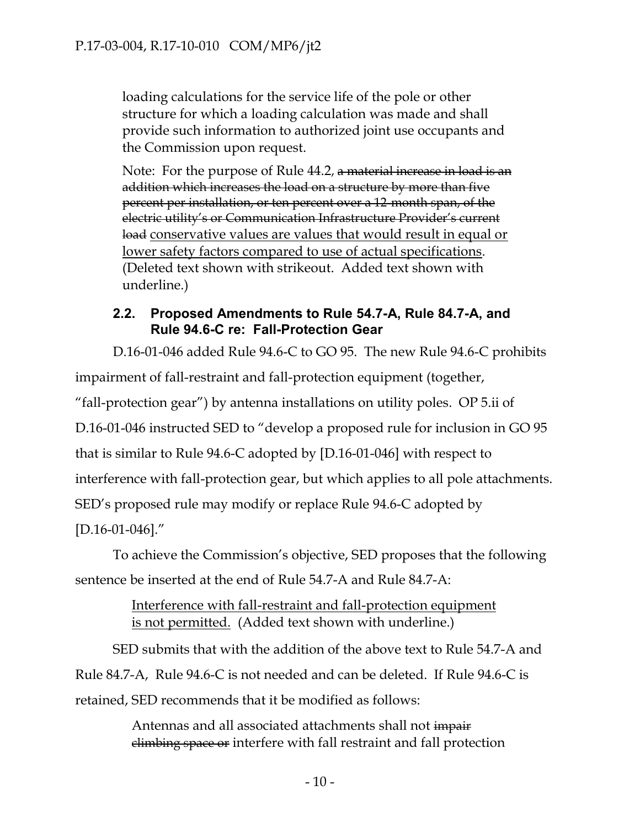loading calculations for the service life of the pole or other structure for which a loading calculation was made and shall provide such information to authorized joint use occupants and the Commission upon request.

Note: For the purpose of Rule 44.2, a material increase in load is an addition which increases the load on a structure by more than five percent per installation, or ten percent over a 12-month span, of the electric utility's or Communication Infrastructure Provider's current load conservative values are values that would result in equal or lower safety factors compared to use of actual specifications. (Deleted text shown with strikeout. Added text shown with underline.)

### **2.2. Proposed Amendments to Rule 54.7-A, Rule 84.7-A, and Rule 94.6-C re: Fall-Protection Gear**

D.16-01-046 added Rule 94.6-C to GO 95. The new Rule 94.6-C prohibits impairment of fall-restraint and fall-protection equipment (together, "fall-protection gear") by antenna installations on utility poles. OP 5.ii of D.16-01-046 instructed SED to "develop a proposed rule for inclusion in GO 95 that is similar to Rule 94.6-C adopted by [D.16-01-046] with respect to interference with fall-protection gear, but which applies to all pole attachments. SED's proposed rule may modify or replace Rule 94.6-C adopted by [D.16-01-046]."

To achieve the Commission's objective, SED proposes that the following sentence be inserted at the end of Rule 54.7-A and Rule 84.7-A:

### Interference with fall-restraint and fall-protection equipment is not permitted. (Added text shown with underline.)

SED submits that with the addition of the above text to Rule 54.7-A and Rule 84.7-A, Rule 94.6-C is not needed and can be deleted. If Rule 94.6-C is retained, SED recommends that it be modified as follows:

> Antennas and all associated attachments shall not impair climbing space or interfere with fall restraint and fall protection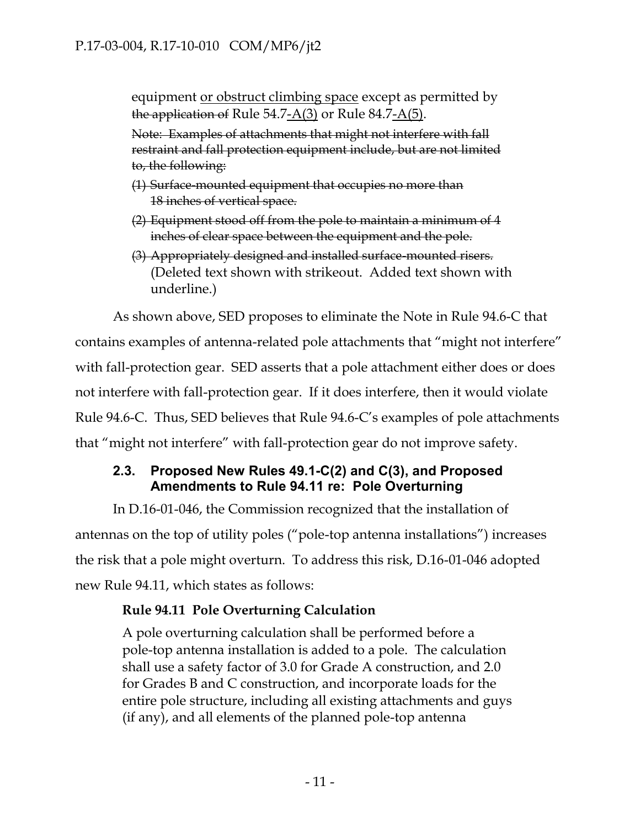equipment <u>or obstruct climbing space</u> except as permitted by the application of Rule 54.7- $A(3)$  or Rule 84.7- $A(5)$ .

Note: Examples of attachments that might not interfere with fall restraint and fall protection equipment include, but are not limited to, the following:

- (1) Surface-mounted equipment that occupies no more than 18 inches of vertical space.
- (2) Equipment stood off from the pole to maintain a minimum of 4 inches of clear space between the equipment and the pole.
- (3) Appropriately designed and installed surface-mounted risers. (Deleted text shown with strikeout. Added text shown with underline.)

As shown above, SED proposes to eliminate the Note in Rule 94.6-C that contains examples of antenna-related pole attachments that "might not interfere" with fall-protection gear. SED asserts that a pole attachment either does or does not interfere with fall-protection gear. If it does interfere, then it would violate Rule 94.6-C. Thus, SED believes that Rule 94.6-C's examples of pole attachments that "might not interfere" with fall-protection gear do not improve safety.

## **2.3. Proposed New Rules 49.1-C(2) and C(3), and Proposed Amendments to Rule 94.11 re: Pole Overturning**

In D.16-01-046, the Commission recognized that the installation of antennas on the top of utility poles ("pole-top antenna installations") increases the risk that a pole might overturn. To address this risk, D.16-01-046 adopted new Rule 94.11, which states as follows:

## **Rule 94.11 Pole Overturning Calculation**

A pole overturning calculation shall be performed before a pole-top antenna installation is added to a pole. The calculation shall use a safety factor of 3.0 for Grade A construction, and 2.0 for Grades B and C construction, and incorporate loads for the entire pole structure, including all existing attachments and guys (if any), and all elements of the planned pole-top antenna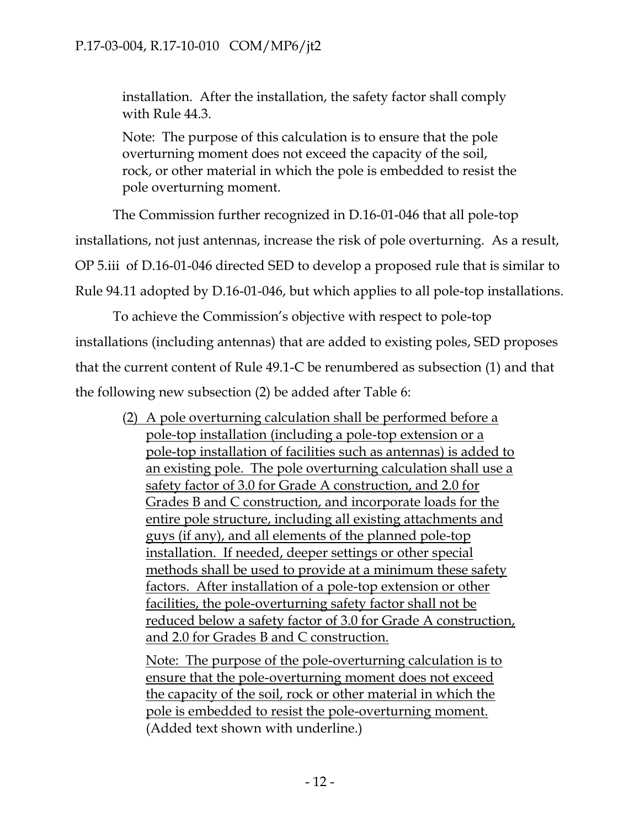installation. After the installation, the safety factor shall comply with Rule 44.3.

Note: The purpose of this calculation is to ensure that the pole overturning moment does not exceed the capacity of the soil, rock, or other material in which the pole is embedded to resist the pole overturning moment.

The Commission further recognized in D.16-01-046 that all pole-top installations, not just antennas, increase the risk of pole overturning. As a result, OP 5.iii of D.16-01-046 directed SED to develop a proposed rule that is similar to Rule 94.11 adopted by D.16-01-046, but which applies to all pole-top installations.

To achieve the Commission's objective with respect to pole-top installations (including antennas) that are added to existing poles, SED proposes that the current content of Rule 49.1-C be renumbered as subsection (1) and that the following new subsection (2) be added after Table 6:

(2) A pole overturning calculation shall be performed before a pole-top installation (including a pole-top extension or a pole-top installation of facilities such as antennas) is added to an existing pole. The pole overturning calculation shall use a safety factor of 3.0 for Grade A construction, and 2.0 for Grades B and C construction, and incorporate loads for the entire pole structure, including all existing attachments and guys (if any), and all elements of the planned pole-top installation. If needed, deeper settings or other special methods shall be used to provide at a minimum these safety factors. After installation of a pole-top extension or other facilities, the pole-overturning safety factor shall not be reduced below a safety factor of 3.0 for Grade A construction, and 2.0 for Grades B and C construction.

Note: The purpose of the pole-overturning calculation is to ensure that the pole-overturning moment does not exceed the capacity of the soil, rock or other material in which the pole is embedded to resist the pole-overturning moment. (Added text shown with underline.)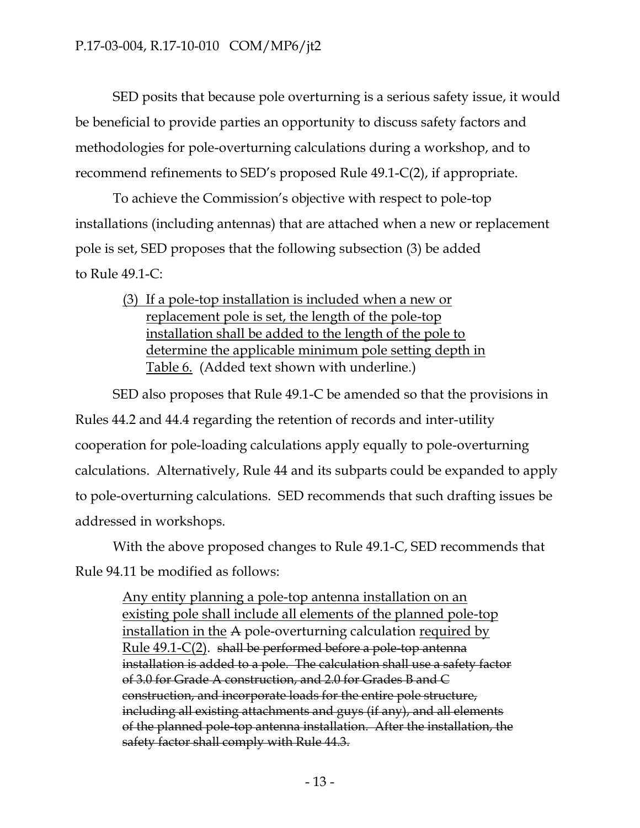SED posits that because pole overturning is a serious safety issue, it would be beneficial to provide parties an opportunity to discuss safety factors and methodologies for pole-overturning calculations during a workshop, and to recommend refinements to SED's proposed Rule 49.1-C(2), if appropriate.

To achieve the Commission's objective with respect to pole-top installations (including antennas) that are attached when a new or replacement pole is set, SED proposes that the following subsection (3) be added to Rule 49.1-C:

(3) If a pole-top installation is included when a new or replacement pole is set, the length of the pole-top installation shall be added to the length of the pole to determine the applicable minimum pole setting depth in Table 6. (Added text shown with underline.)

SED also proposes that Rule 49.1-C be amended so that the provisions in Rules 44.2 and 44.4 regarding the retention of records and inter-utility cooperation for pole-loading calculations apply equally to pole-overturning calculations. Alternatively, Rule 44 and its subparts could be expanded to apply to pole-overturning calculations. SED recommends that such drafting issues be addressed in workshops.

With the above proposed changes to Rule 49.1-C, SED recommends that Rule 94.11 be modified as follows:

Any entity planning a pole-top antenna installation on an existing pole shall include all elements of the planned pole-top installation in the A pole-overturning calculation required by Rule 49.1-C(2). shall be performed before a pole-top antenna installation is added to a pole. The calculation shall use a safety factor of 3.0 for Grade A construction, and 2.0 for Grades B and C construction, and incorporate loads for the entire pole structure, including all existing attachments and guys (if any), and all elements of the planned pole-top antenna installation. After the installation, the safety factor shall comply with Rule 44.3.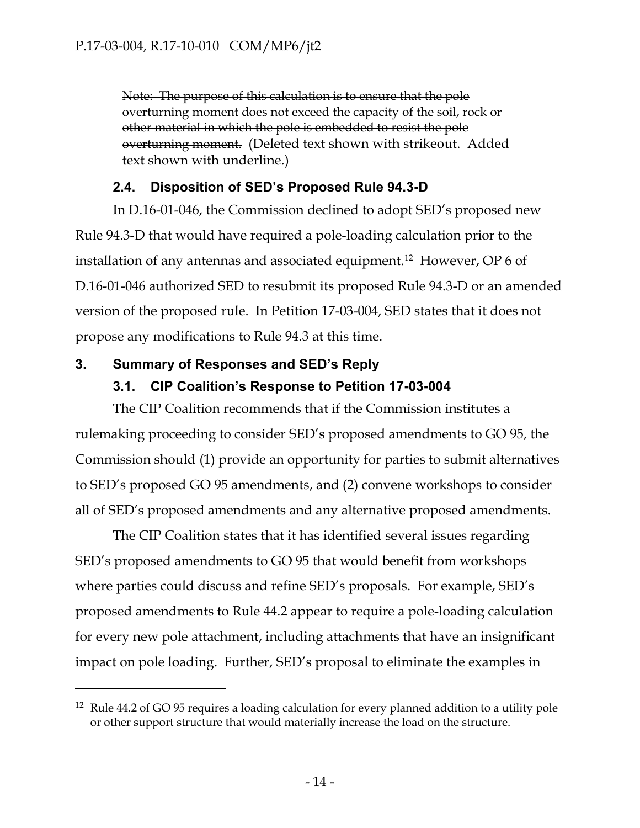Note: The purpose of this calculation is to ensure that the pole overturning moment does not exceed the capacity of the soil, rock or other material in which the pole is embedded to resist the pole overturning moment. (Deleted text shown with strikeout. Added text shown with underline.)

### **2.4. Disposition of SED's Proposed Rule 94.3-D**

In D.16-01-046, the Commission declined to adopt SED's proposed new Rule 94.3-D that would have required a pole-loading calculation prior to the installation of any antennas and associated equipment.<sup>12</sup> However, OP 6 of D.16-01-046 authorized SED to resubmit its proposed Rule 94.3-D or an amended version of the proposed rule. In Petition 17-03-004, SED states that it does not propose any modifications to Rule 94.3 at this time.

### **3. Summary of Responses and SED's Reply**

 $\overline{a}$ 

### **3.1. CIP Coalition's Response to Petition 17-03-004**

The CIP Coalition recommends that if the Commission institutes a rulemaking proceeding to consider SED's proposed amendments to GO 95, the Commission should (1) provide an opportunity for parties to submit alternatives to SED's proposed GO 95 amendments, and (2) convene workshops to consider all of SED's proposed amendments and any alternative proposed amendments.

The CIP Coalition states that it has identified several issues regarding SED's proposed amendments to GO 95 that would benefit from workshops where parties could discuss and refine SED's proposals. For example, SED's proposed amendments to Rule 44.2 appear to require a pole-loading calculation for every new pole attachment, including attachments that have an insignificant impact on pole loading. Further, SED's proposal to eliminate the examples in

<sup>&</sup>lt;sup>12</sup> Rule 44.2 of GO 95 requires a loading calculation for every planned addition to a utility pole or other support structure that would materially increase the load on the structure.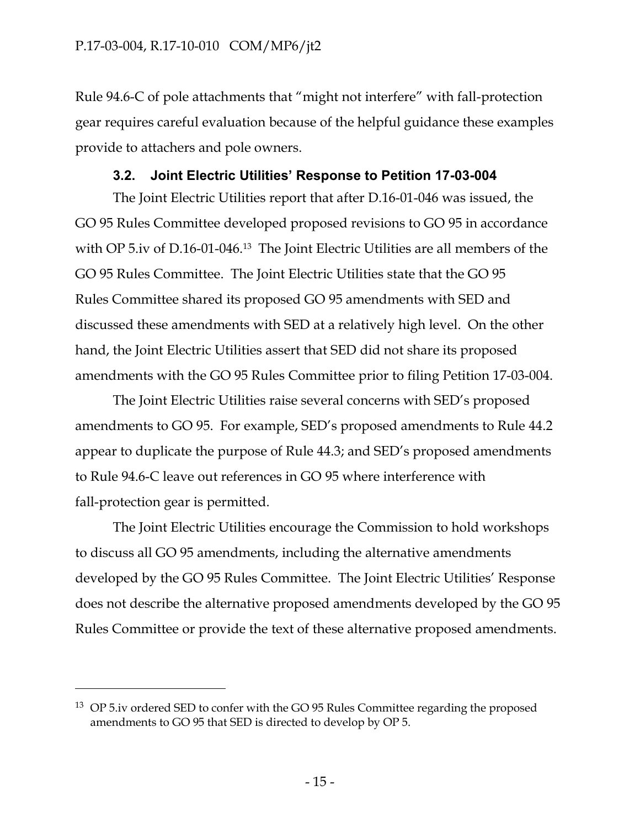Rule 94.6-C of pole attachments that "might not interfere" with fall-protection gear requires careful evaluation because of the helpful guidance these examples provide to attachers and pole owners.

## **3.2. Joint Electric Utilities' Response to Petition 17-03-004**

The Joint Electric Utilities report that after D.16-01-046 was issued, the GO 95 Rules Committee developed proposed revisions to GO 95 in accordance with OP 5.iv of D.16-01-046.<sup>13</sup> The Joint Electric Utilities are all members of the GO 95 Rules Committee. The Joint Electric Utilities state that the GO 95 Rules Committee shared its proposed GO 95 amendments with SED and discussed these amendments with SED at a relatively high level. On the other hand, the Joint Electric Utilities assert that SED did not share its proposed amendments with the GO 95 Rules Committee prior to filing Petition 17-03-004.

The Joint Electric Utilities raise several concerns with SED's proposed amendments to GO 95. For example, SED's proposed amendments to Rule 44.2 appear to duplicate the purpose of Rule 44.3; and SED's proposed amendments to Rule 94.6-C leave out references in GO 95 where interference with fall-protection gear is permitted.

The Joint Electric Utilities encourage the Commission to hold workshops to discuss all GO 95 amendments, including the alternative amendments developed by the GO 95 Rules Committee. The Joint Electric Utilities' Response does not describe the alternative proposed amendments developed by the GO 95 Rules Committee or provide the text of these alternative proposed amendments.

 $\overline{a}$ 

 $13$  OP 5.iv ordered SED to confer with the GO 95 Rules Committee regarding the proposed amendments to GO 95 that SED is directed to develop by OP 5.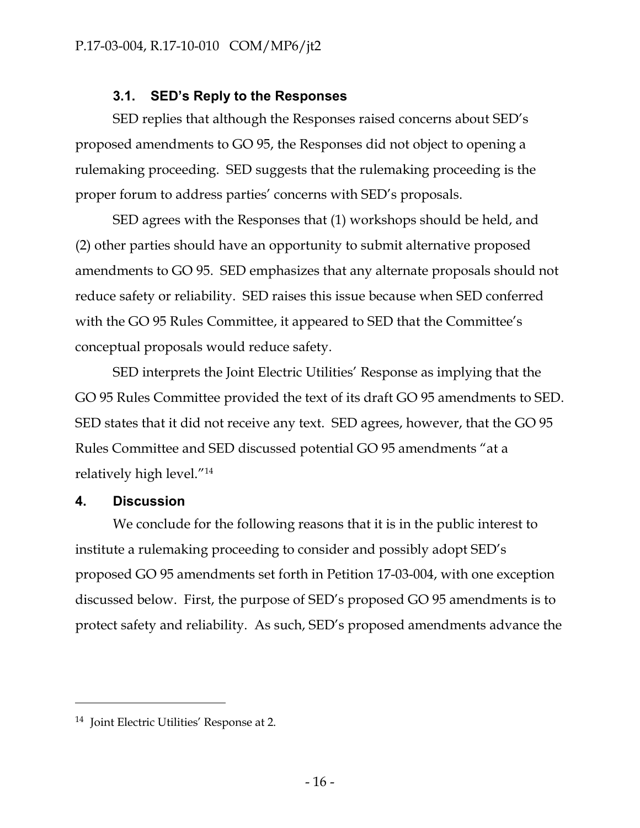## **3.1. SED's Reply to the Responses**

SED replies that although the Responses raised concerns about SED's proposed amendments to GO 95, the Responses did not object to opening a rulemaking proceeding. SED suggests that the rulemaking proceeding is the proper forum to address parties' concerns with SED's proposals.

SED agrees with the Responses that (1) workshops should be held, and (2) other parties should have an opportunity to submit alternative proposed amendments to GO 95. SED emphasizes that any alternate proposals should not reduce safety or reliability. SED raises this issue because when SED conferred with the GO 95 Rules Committee, it appeared to SED that the Committee's conceptual proposals would reduce safety.

SED interprets the Joint Electric Utilities' Response as implying that the GO 95 Rules Committee provided the text of its draft GO 95 amendments to SED. SED states that it did not receive any text. SED agrees, however, that the GO 95 Rules Committee and SED discussed potential GO 95 amendments "at a relatively high level."<sup>14</sup>

#### **4. Discussion**

 $\overline{a}$ 

We conclude for the following reasons that it is in the public interest to institute a rulemaking proceeding to consider and possibly adopt SED's proposed GO 95 amendments set forth in Petition 17-03-004, with one exception discussed below. First, the purpose of SED's proposed GO 95 amendments is to protect safety and reliability. As such, SED's proposed amendments advance the

<sup>14</sup> Joint Electric Utilities' Response at 2.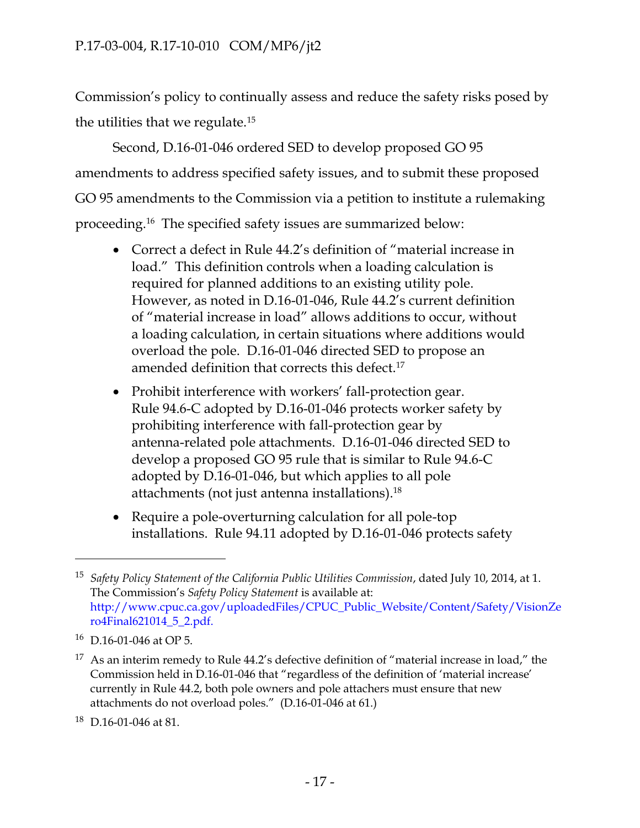Commission's policy to continually assess and reduce the safety risks posed by the utilities that we regulate.<sup>15</sup>

Second, D.16-01-046 ordered SED to develop proposed GO 95 amendments to address specified safety issues, and to submit these proposed GO 95 amendments to the Commission via a petition to institute a rulemaking proceeding. 16 The specified safety issues are summarized below:

- Correct a defect in Rule 44.2's definition of "material increase in load." This definition controls when a loading calculation is required for planned additions to an existing utility pole. However, as noted in D.16-01-046, Rule 44.2's current definition of "material increase in load" allows additions to occur, without a loading calculation, in certain situations where additions would overload the pole. D.16-01-046 directed SED to propose an amended definition that corrects this defect. 17
- Prohibit interference with workers' fall-protection gear. Rule 94.6-C adopted by D.16-01-046 protects worker safety by prohibiting interference with fall-protection gear by antenna-related pole attachments. D.16-01-046 directed SED to develop a proposed GO 95 rule that is similar to Rule 94.6-C adopted by D.16-01-046, but which applies to all pole attachments (not just antenna installations). 18
- Require a pole-overturning calculation for all pole-top installations. Rule 94.11 adopted by D.16-01-046 protects safety

 $\overline{a}$ 

<sup>15</sup> *Safety Policy Statement of the California Public Utilities Commission*, dated July 10, 2014, at 1. The Commission's *Safety Policy Statement* is available at: [http://www.cpuc.ca.gov/uploadedFiles/CPUC\\_Public\\_Website/Content/Safety/VisionZe](http://www.cpuc.ca.gov/uploadedFiles/CPUC_Public_Website/Content/Safety/VisionZero4Final621014_5_2.pdf) [ro4Final621014\\_5\\_2.pdf.](http://www.cpuc.ca.gov/uploadedFiles/CPUC_Public_Website/Content/Safety/VisionZero4Final621014_5_2.pdf)

<sup>16</sup> D.16-01-046 at OP 5.

 $17$  As an interim remedy to Rule 44.2's defective definition of "material increase in load," the Commission held in D.16-01-046 that "regardless of the definition of 'material increase' currently in Rule 44.2, both pole owners and pole attachers must ensure that new attachments do not overload poles." (D.16-01-046 at 61.)

<sup>18</sup> D.16-01-046 at 81.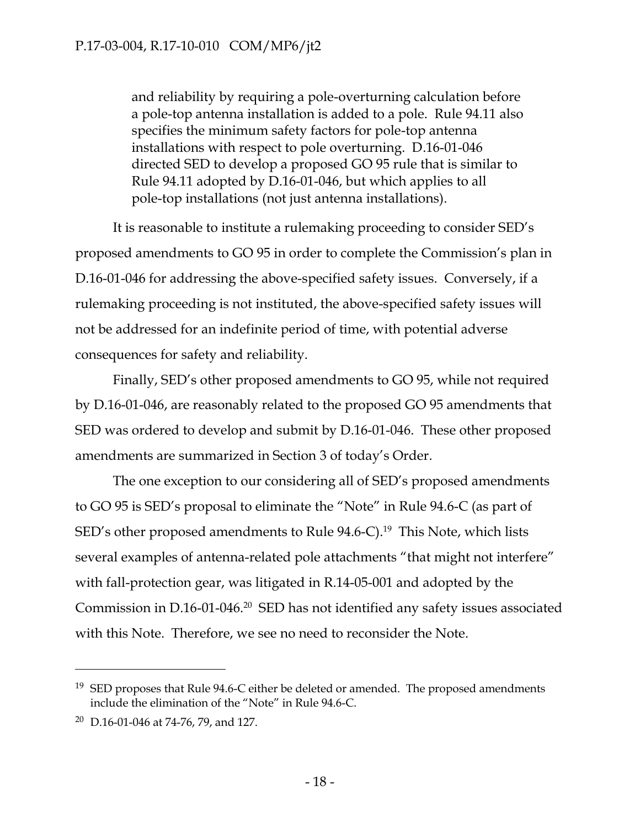and reliability by requiring a pole-overturning calculation before a pole-top antenna installation is added to a pole. Rule 94.11 also specifies the minimum safety factors for pole-top antenna installations with respect to pole overturning. D.16-01-046 directed SED to develop a proposed GO 95 rule that is similar to Rule 94.11 adopted by D.16-01-046, but which applies to all pole-top installations (not just antenna installations).

It is reasonable to institute a rulemaking proceeding to consider SED's proposed amendments to GO 95 in order to complete the Commission's plan in D.16-01-046 for addressing the above-specified safety issues. Conversely, if a rulemaking proceeding is not instituted, the above-specified safety issues will not be addressed for an indefinite period of time, with potential adverse consequences for safety and reliability.

Finally, SED's other proposed amendments to GO 95, while not required by D.16-01-046, are reasonably related to the proposed GO 95 amendments that SED was ordered to develop and submit by D.16-01-046. These other proposed amendments are summarized in Section 3 of today's Order.

The one exception to our considering all of SED's proposed amendments to GO 95 is SED's proposal to eliminate the "Note" in Rule 94.6-C (as part of SED's other proposed amendments to Rule 94.6-C). 19 This Note, which lists several examples of antenna-related pole attachments "that might not interfere" with fall-protection gear, was litigated in R.14-05-001 and adopted by the Commission in D.16-01-046.<sup>20</sup> SED has not identified any safety issues associated with this Note. Therefore, we see no need to reconsider the Note.

 $\overline{a}$ 

 $19$  SED proposes that Rule 94.6-C either be deleted or amended. The proposed amendments include the elimination of the "Note" in Rule 94.6-C.

 $20$  D.16-01-046 at 74-76, 79, and 127.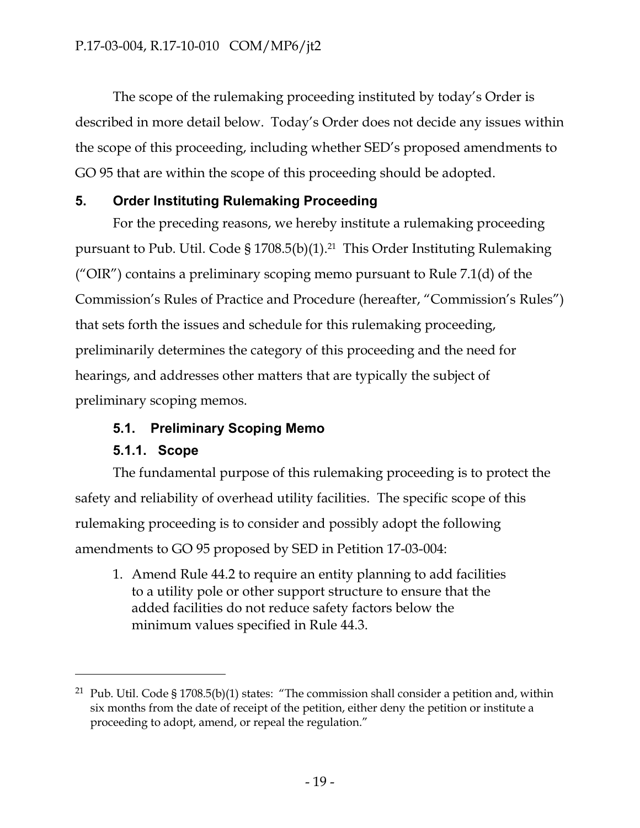The scope of the rulemaking proceeding instituted by today's Order is described in more detail below. Today's Order does not decide any issues within the scope of this proceeding, including whether SED's proposed amendments to GO 95 that are within the scope of this proceeding should be adopted.

## **5. Order Instituting Rulemaking Proceeding**

For the preceding reasons, we hereby institute a rulemaking proceeding pursuant to Pub. Util. Code § 1708.5(b)(1). <sup>21</sup> This Order Instituting Rulemaking ("OIR") contains a preliminary scoping memo pursuant to Rule  $7.1(d)$  of the Commission's Rules of Practice and Procedure (hereafter, "Commission's Rules") that sets forth the issues and schedule for this rulemaking proceeding, preliminarily determines the category of this proceeding and the need for hearings, and addresses other matters that are typically the subject of preliminary scoping memos.

## **5.1. Preliminary Scoping Memo**

## **5.1.1. Scope**

 $\overline{a}$ 

The fundamental purpose of this rulemaking proceeding is to protect the safety and reliability of overhead utility facilities. The specific scope of this rulemaking proceeding is to consider and possibly adopt the following amendments to GO 95 proposed by SED in Petition 17-03-004:

1. Amend Rule 44.2 to require an entity planning to add facilities to a utility pole or other support structure to ensure that the added facilities do not reduce safety factors below the minimum values specified in Rule 44.3.

<sup>&</sup>lt;sup>21</sup> Pub. Util. Code § 1708.5(b)(1) states: "The commission shall consider a petition and, within six months from the date of receipt of the petition, either deny the petition or institute a proceeding to adopt, amend, or repeal the regulation."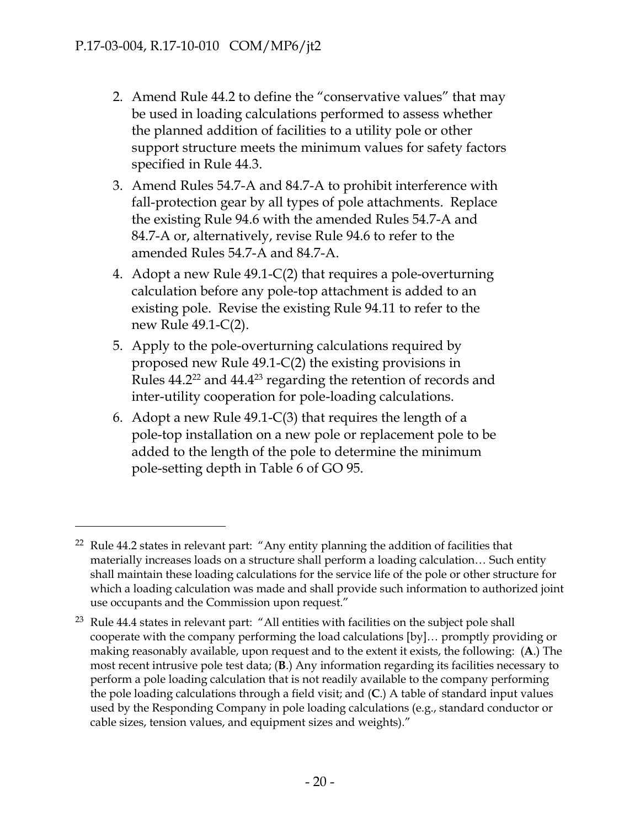$\overline{a}$ 

- 2. Amend Rule 44.2 to define the "conservative values" that may be used in loading calculations performed to assess whether the planned addition of facilities to a utility pole or other support structure meets the minimum values for safety factors specified in Rule 44.3.
- 3. Amend Rules 54.7-A and 84.7-A to prohibit interference with fall-protection gear by all types of pole attachments. Replace the existing Rule 94.6 with the amended Rules 54.7-A and 84.7-A or, alternatively, revise Rule 94.6 to refer to the amended Rules 54.7-A and 84.7-A.
- 4. Adopt a new Rule 49.1-C(2) that requires a pole-overturning calculation before any pole-top attachment is added to an existing pole. Revise the existing Rule 94.11 to refer to the new Rule 49.1-C(2).
- 5. Apply to the pole-overturning calculations required by proposed new Rule 49.1-C(2) the existing provisions in Rules 44.2<sup>22</sup> and 44.4<sup>23</sup> regarding the retention of records and inter-utility cooperation for pole-loading calculations.
- 6. Adopt a new Rule 49.1-C(3) that requires the length of a pole-top installation on a new pole or replacement pole to be added to the length of the pole to determine the minimum pole-setting depth in Table 6 of GO 95.

 $22$  Rule 44.2 states in relevant part: "Any entity planning the addition of facilities that materially increases loads on a structure shall perform a loading calculation… Such entity shall maintain these loading calculations for the service life of the pole or other structure for which a loading calculation was made and shall provide such information to authorized joint use occupants and the Commission upon request."

<sup>&</sup>lt;sup>23</sup> Rule 44.4 states in relevant part: "All entities with facilities on the subject pole shall cooperate with the company performing the load calculations [by]… promptly providing or making reasonably available, upon request and to the extent it exists, the following: (**A**.) The most recent intrusive pole test data; (**B**.) Any information regarding its facilities necessary to perform a pole loading calculation that is not readily available to the company performing the pole loading calculations through a field visit; and (**C**.) A table of standard input values used by the Responding Company in pole loading calculations (e.g., standard conductor or cable sizes, tension values, and equipment sizes and weights)."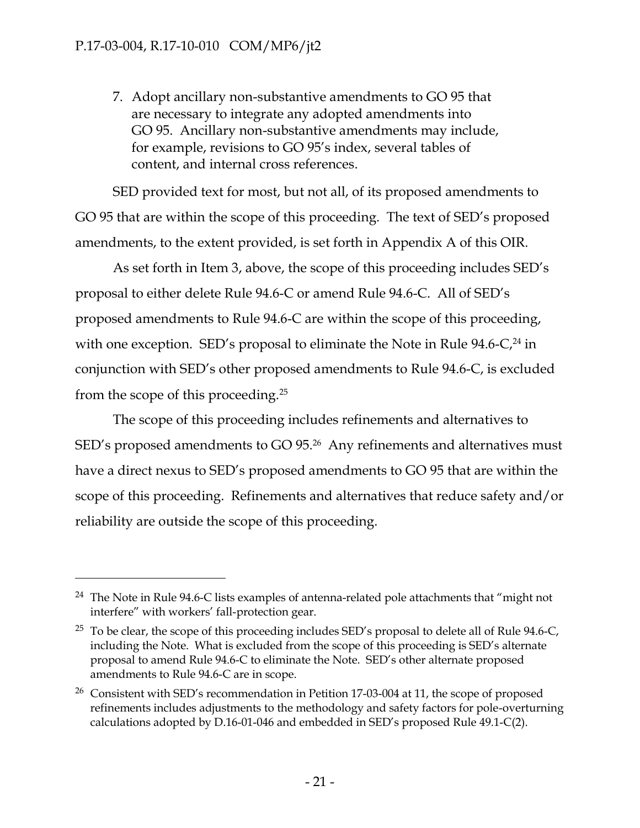$\overline{a}$ 

7. Adopt ancillary non-substantive amendments to GO 95 that are necessary to integrate any adopted amendments into GO 95. Ancillary non-substantive amendments may include, for example, revisions to GO 95's index, several tables of content, and internal cross references.

SED provided text for most, but not all, of its proposed amendments to GO 95 that are within the scope of this proceeding. The text of SED's proposed amendments, to the extent provided, is set forth in Appendix A of this OIR.

As set forth in Item 3, above, the scope of this proceeding includes SED's proposal to either delete Rule 94.6-C or amend Rule 94.6-C. All of SED's proposed amendments to Rule 94.6-C are within the scope of this proceeding, with one exception. SED's proposal to eliminate the Note in Rule 94.6-C,<sup>24</sup> in conjunction with SED's other proposed amendments to Rule 94.6-C, is excluded from the scope of this proceeding.<sup>25</sup>

The scope of this proceeding includes refinements and alternatives to SED's proposed amendments to GO 95.<sup>26</sup> Any refinements and alternatives must have a direct nexus to SED's proposed amendments to GO 95 that are within the scope of this proceeding. Refinements and alternatives that reduce safety and/or reliability are outside the scope of this proceeding.

<sup>&</sup>lt;sup>24</sup> The Note in Rule 94.6-C lists examples of antenna-related pole attachments that "might not interfere" with workers' fall-protection gear.

<sup>&</sup>lt;sup>25</sup> To be clear, the scope of this proceeding includes SED's proposal to delete all of Rule 94.6-C, including the Note. What is excluded from the scope of this proceeding is SED's alternate proposal to amend Rule 94.6-C to eliminate the Note. SED's other alternate proposed amendments to Rule 94.6-C are in scope.

<sup>26</sup> Consistent with SED's recommendation in Petition 17-03-004 at 11, the scope of proposed refinements includes adjustments to the methodology and safety factors for pole-overturning calculations adopted by D.16-01-046 and embedded in SED's proposed Rule 49.1-C(2).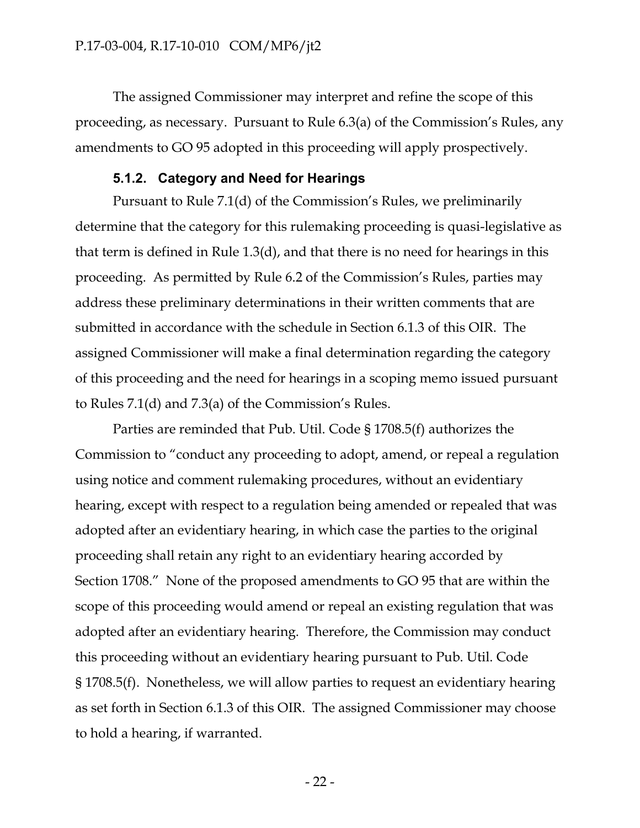The assigned Commissioner may interpret and refine the scope of this proceeding, as necessary. Pursuant to Rule 6.3(a) of the Commission's Rules, any amendments to GO 95 adopted in this proceeding will apply prospectively.

## **5.1.2. Category and Need for Hearings**

Pursuant to Rule 7.1(d) of the Commission's Rules, we preliminarily determine that the category for this rulemaking proceeding is quasi-legislative as that term is defined in Rule 1.3(d), and that there is no need for hearings in this proceeding. As permitted by Rule 6.2 of the Commission's Rules, parties may address these preliminary determinations in their written comments that are submitted in accordance with the schedule in Section 6.1.3 of this OIR. The assigned Commissioner will make a final determination regarding the category of this proceeding and the need for hearings in a scoping memo issued pursuant to Rules 7.1(d) and 7.3(a) of the Commission's Rules.

Parties are reminded that Pub. Util. Code § 1708.5(f) authorizes the Commission to "conduct any proceeding to adopt, amend, or repeal a regulation using notice and comment rulemaking procedures, without an evidentiary hearing, except with respect to a regulation being amended or repealed that was adopted after an evidentiary hearing, in which case the parties to the original proceeding shall retain any right to an evidentiary hearing accorded by Section 1708." None of the proposed amendments to GO 95 that are within the scope of this proceeding would amend or repeal an existing regulation that was adopted after an evidentiary hearing. Therefore, the Commission may conduct this proceeding without an evidentiary hearing pursuant to Pub. Util. Code § 1708.5(f). Nonetheless, we will allow parties to request an evidentiary hearing as set forth in Section 6.1.3 of this OIR. The assigned Commissioner may choose to hold a hearing, if warranted.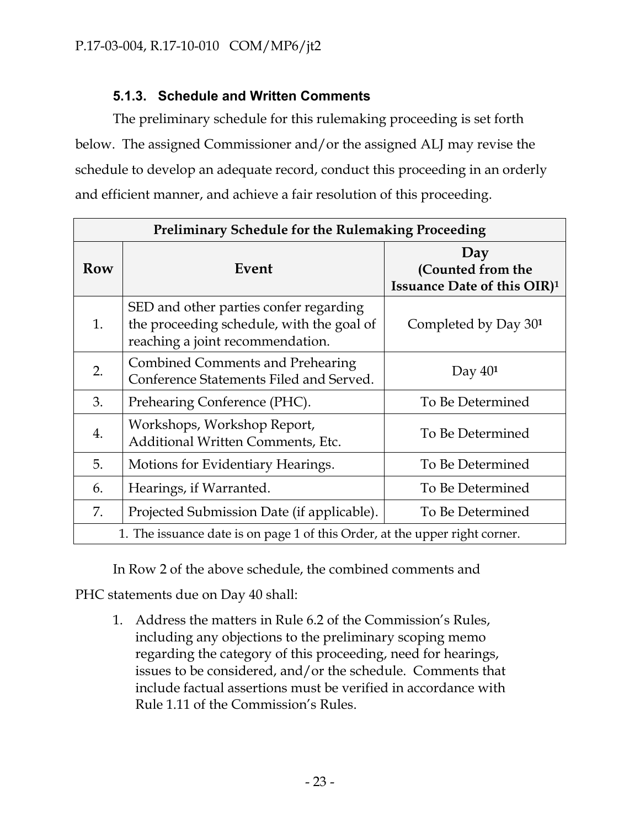## **5.1.3. Schedule and Written Comments**

The preliminary schedule for this rulemaking proceeding is set forth below. The assigned Commissioner and/or the assigned ALJ may revise the schedule to develop an adequate record, conduct this proceeding in an orderly and efficient manner, and achieve a fair resolution of this proceeding.

| <b>Preliminary Schedule for the Rulemaking Proceeding</b>                   |                                                                                                                         |                                                                     |
|-----------------------------------------------------------------------------|-------------------------------------------------------------------------------------------------------------------------|---------------------------------------------------------------------|
| Row                                                                         | Event                                                                                                                   | Day<br>(Counted from the<br>Issuance Date of this OIR) <sup>1</sup> |
| 1.                                                                          | SED and other parties confer regarding<br>the proceeding schedule, with the goal of<br>reaching a joint recommendation. | Completed by Day 30 <sup>1</sup>                                    |
| 2.                                                                          | <b>Combined Comments and Prehearing</b><br>Conference Statements Filed and Served.                                      | Day $401$                                                           |
| 3.                                                                          | Prehearing Conference (PHC).                                                                                            | To Be Determined                                                    |
| 4.                                                                          | Workshops, Workshop Report,<br>Additional Written Comments, Etc.                                                        | To Be Determined                                                    |
| 5.                                                                          | Motions for Evidentiary Hearings.                                                                                       | To Be Determined                                                    |
| 6.                                                                          | Hearings, if Warranted.                                                                                                 | To Be Determined                                                    |
| 7.                                                                          | Projected Submission Date (if applicable).                                                                              | To Be Determined                                                    |
| 1. The issuance date is on page 1 of this Order, at the upper right corner. |                                                                                                                         |                                                                     |

In Row 2 of the above schedule, the combined comments and

PHC statements due on Day 40 shall:

1. Address the matters in Rule 6.2 of the Commission's Rules, including any objections to the preliminary scoping memo regarding the category of this proceeding, need for hearings, issues to be considered, and/or the schedule. Comments that include factual assertions must be verified in accordance with Rule 1.11 of the Commission's Rules.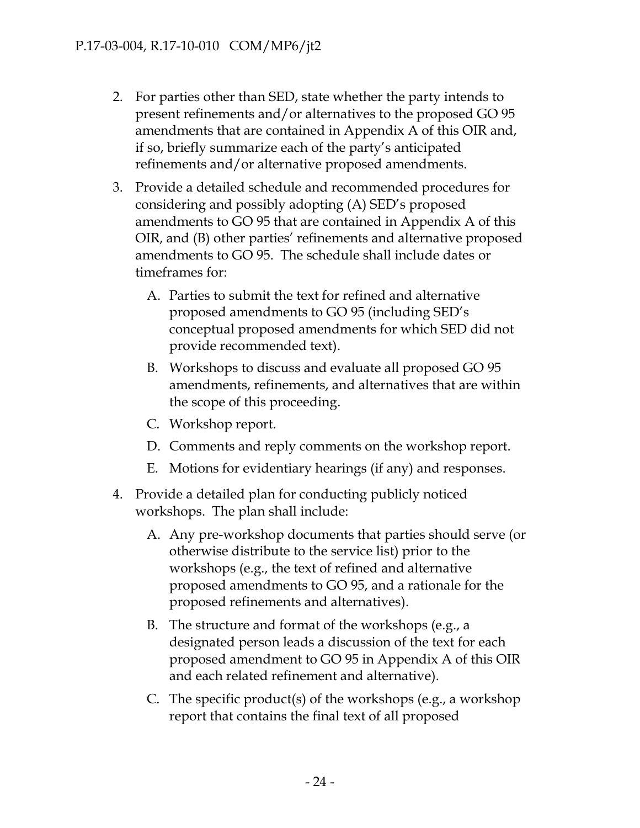- 2. For parties other than SED, state whether the party intends to present refinements and/or alternatives to the proposed GO 95 amendments that are contained in Appendix A of this OIR and, if so, briefly summarize each of the party's anticipated refinements and/or alternative proposed amendments.
- 3. Provide a detailed schedule and recommended procedures for considering and possibly adopting (A) SED's proposed amendments to GO 95 that are contained in Appendix A of this OIR, and (B) other parties' refinements and alternative proposed amendments to GO 95. The schedule shall include dates or timeframes for:
	- A. Parties to submit the text for refined and alternative proposed amendments to GO 95 (including SED's conceptual proposed amendments for which SED did not provide recommended text).
	- B. Workshops to discuss and evaluate all proposed GO 95 amendments, refinements, and alternatives that are within the scope of this proceeding.
	- C. Workshop report.
	- D. Comments and reply comments on the workshop report.
	- E. Motions for evidentiary hearings (if any) and responses.
- 4. Provide a detailed plan for conducting publicly noticed workshops. The plan shall include:
	- A. Any pre-workshop documents that parties should serve (or otherwise distribute to the service list) prior to the workshops (e.g., the text of refined and alternative proposed amendments to GO 95, and a rationale for the proposed refinements and alternatives).
	- B. The structure and format of the workshops (e.g., a designated person leads a discussion of the text for each proposed amendment to GO 95 in Appendix A of this OIR and each related refinement and alternative).
	- C. The specific product(s) of the workshops (e.g., a workshop report that contains the final text of all proposed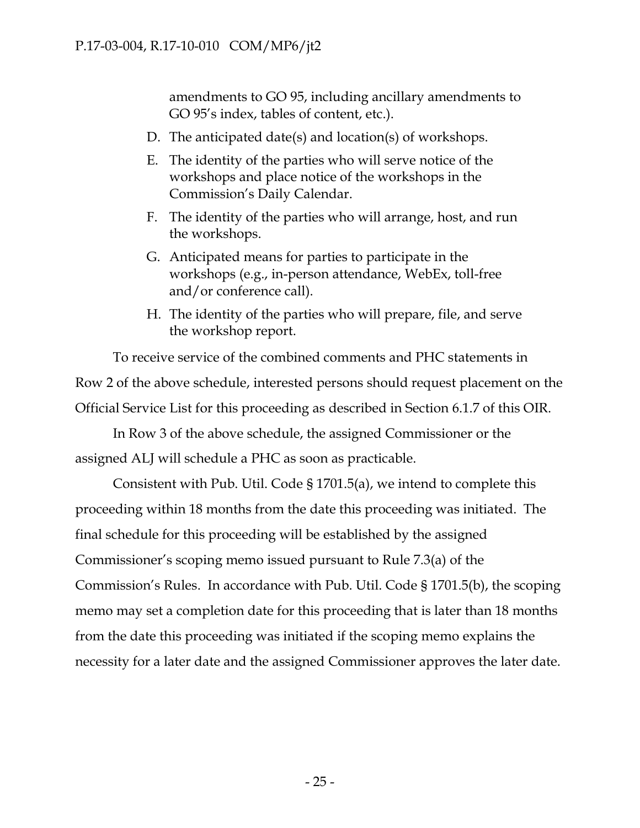amendments to GO 95, including ancillary amendments to GO 95's index, tables of content, etc.).

- D. The anticipated date(s) and location(s) of workshops.
- E. The identity of the parties who will serve notice of the workshops and place notice of the workshops in the Commission's Daily Calendar.
- F. The identity of the parties who will arrange, host, and run the workshops.
- G. Anticipated means for parties to participate in the workshops (e.g., in-person attendance, WebEx, toll-free and/or conference call).
- H. The identity of the parties who will prepare, file, and serve the workshop report.

To receive service of the combined comments and PHC statements in Row 2 of the above schedule, interested persons should request placement on the Official Service List for this proceeding as described in Section 6.1.7 of this OIR.

In Row 3 of the above schedule, the assigned Commissioner or the assigned ALJ will schedule a PHC as soon as practicable.

Consistent with Pub. Util. Code § 1701.5(a), we intend to complete this proceeding within 18 months from the date this proceeding was initiated. The final schedule for this proceeding will be established by the assigned Commissioner's scoping memo issued pursuant to Rule 7.3(a) of the Commission's Rules. In accordance with Pub. Util. Code § 1701.5(b), the scoping memo may set a completion date for this proceeding that is later than 18 months from the date this proceeding was initiated if the scoping memo explains the necessity for a later date and the assigned Commissioner approves the later date.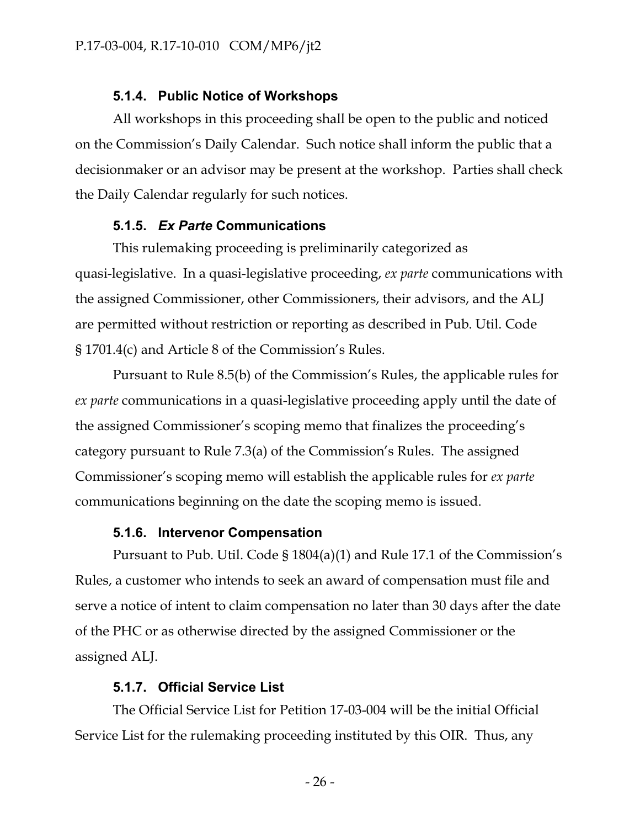#### **5.1.4. Public Notice of Workshops**

All workshops in this proceeding shall be open to the public and noticed on the Commission's Daily Calendar. Such notice shall inform the public that a decisionmaker or an advisor may be present at the workshop. Parties shall check the Daily Calendar regularly for such notices.

#### **5.1.5.** *Ex Parte* **Communications**

This rulemaking proceeding is preliminarily categorized as quasi-legislative. In a quasi-legislative proceeding, *ex parte* communications with the assigned Commissioner, other Commissioners, their advisors, and the ALJ are permitted without restriction or reporting as described in Pub. Util. Code § 1701.4(c) and Article 8 of the Commission's Rules.

Pursuant to Rule 8.5(b) of the Commission's Rules, the applicable rules for *ex parte* communications in a quasi-legislative proceeding apply until the date of the assigned Commissioner's scoping memo that finalizes the proceeding's category pursuant to Rule 7.3(a) of the Commission's Rules. The assigned Commissioner's scoping memo will establish the applicable rules for *ex parte* communications beginning on the date the scoping memo is issued.

#### **5.1.6. Intervenor Compensation**

Pursuant to Pub. Util. Code § 1804(a)(1) and Rule 17.1 of the Commission's Rules, a customer who intends to seek an award of compensation must file and serve a notice of intent to claim compensation no later than 30 days after the date of the PHC or as otherwise directed by the assigned Commissioner or the assigned ALJ.

#### **5.1.7. Official Service List**

The Official Service List for Petition 17-03-004 will be the initial Official Service List for the rulemaking proceeding instituted by this OIR. Thus, any

- 26 -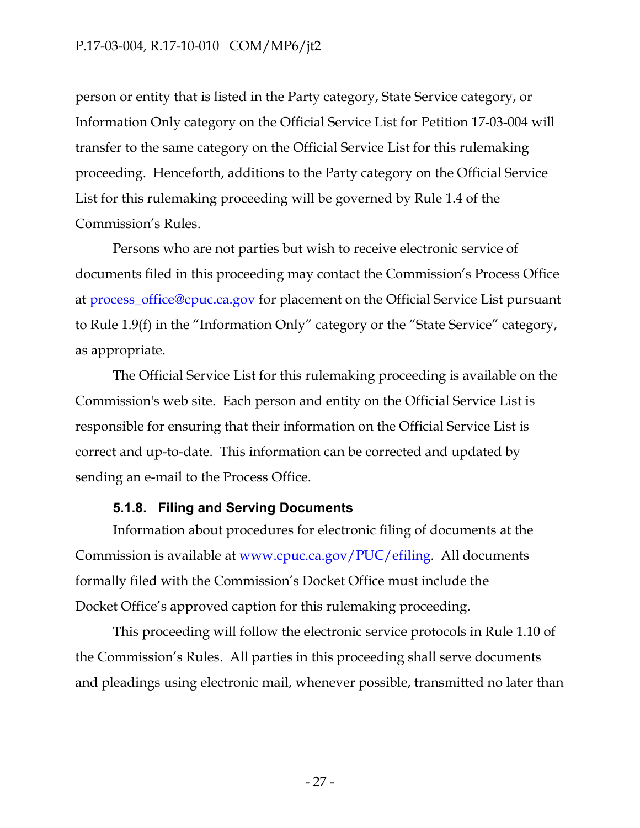#### P.17-03-004, R.17-10-010 COM/MP6/jt2

person or entity that is listed in the Party category, State Service category, or Information Only category on the Official Service List for Petition 17-03-004 will transfer to the same category on the Official Service List for this rulemaking proceeding. Henceforth, additions to the Party category on the Official Service List for this rulemaking proceeding will be governed by Rule 1.4 of the Commission's Rules.

Persons who are not parties but wish to receive electronic service of documents filed in this proceeding may contact the Commission's Process Office at [process\\_office@cpuc.ca.gov](mailto:process_office@cpuc.ca.gov?subject=Re:) for placement on the Official Service List pursuant to Rule 1.9(f) in the "Information Only" category or the "State Service" category, as appropriate.

The Official Service List for this rulemaking proceeding is available on the Commission's web site. Each person and entity on the Official Service List is responsible for ensuring that their information on the Official Service List is correct and up-to-date. This information can be corrected and updated by sending an e-mail to the Process Office.

#### **5.1.8. Filing and Serving Documents**

Information about procedures for electronic filing of documents at the Commission is available at [www.cpuc.ca.gov/PUC/efiling.](http://www.cpuc.ca.gov/PUC/efiling) All documents formally filed with the Commission's Docket Office must include the Docket Office's approved caption for this rulemaking proceeding.

This proceeding will follow the electronic service protocols in Rule 1.10 of the Commission's Rules. All parties in this proceeding shall serve documents and pleadings using electronic mail, whenever possible, transmitted no later than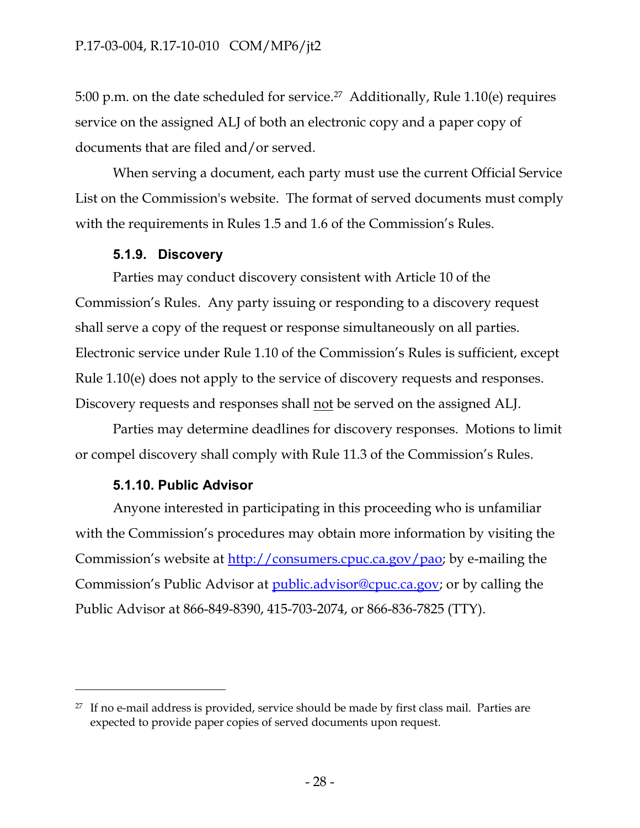5:00 p.m. on the date scheduled for service.<sup>27</sup> Additionally, Rule 1.10(e) requires service on the assigned ALJ of both an electronic copy and a paper copy of documents that are filed and/or served.

When serving a document, each party must use the current Official Service List on the Commission's website. The format of served documents must comply with the requirements in Rules 1.5 and 1.6 of the Commission's Rules.

### **5.1.9. Discovery**

Parties may conduct discovery consistent with Article 10 of the Commission's Rules. Any party issuing or responding to a discovery request shall serve a copy of the request or response simultaneously on all parties. Electronic service under Rule 1.10 of the Commission's Rules is sufficient, except Rule 1.10(e) does not apply to the service of discovery requests and responses. Discovery requests and responses shall not be served on the assigned ALJ.

Parties may determine deadlines for discovery responses. Motions to limit or compel discovery shall comply with Rule 11.3 of the Commission's Rules.

## **5.1.10. Public Advisor**

 $\overline{a}$ 

Anyone interested in participating in this proceeding who is unfamiliar with the Commission's procedures may obtain more information by visiting the Commission's website at [http://consumers.cpuc.ca.gov/pao;](http://consumers.cpuc.ca.gov/pao/) by e-mailing the Commission's Public Advisor at [public.advisor@cpuc.ca.gov;](file:///d:/tim/Application%20Data/OpenText/OTEdit/EC_CPUC/c23173430/public.advisor@cpuc.ca.gov) or by calling the Public Advisor at 866-849-8390, 415-703-2074, or 866-836-7825 (TTY).

 $27$  If no e-mail address is provided, service should be made by first class mail. Parties are expected to provide paper copies of served documents upon request.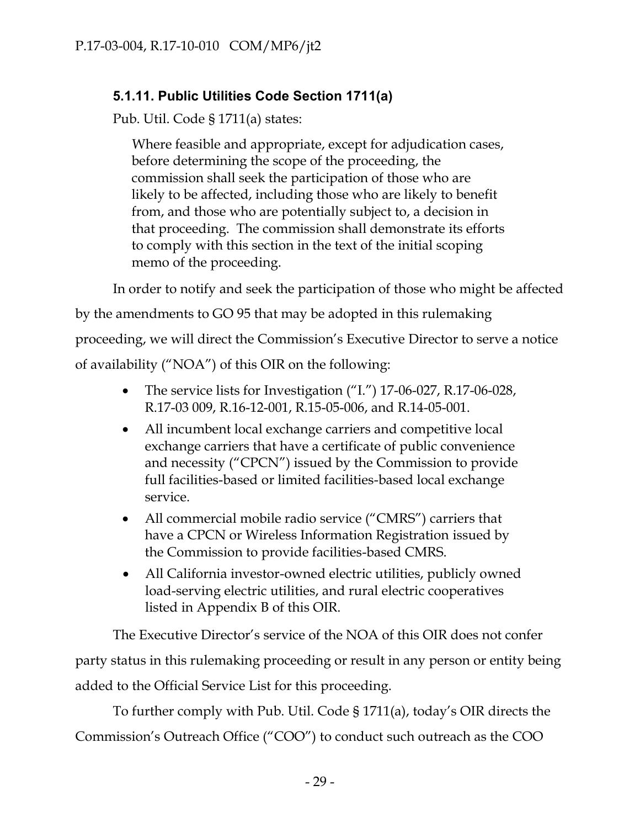## **5.1.11. Public Utilities Code Section 1711(a)**

Pub. Util. Code § 1711(a) states:

Where feasible and appropriate, except for adjudication cases, before determining the scope of the proceeding, the commission shall seek the participation of those who are likely to be affected, including those who are likely to benefit from, and those who are potentially subject to, a decision in that proceeding. The commission shall demonstrate its efforts to comply with this section in the text of the initial scoping memo of the proceeding.

In order to notify and seek the participation of those who might be affected

by the amendments to GO 95 that may be adopted in this rulemaking

proceeding, we will direct the Commission's Executive Director to serve a notice

of availability ("NOA") of this OIR on the following:

- The service lists for Investigation ("I.") 17-06-027, R.17-06-028, R.17-03 009, R.16-12-001, R.15-05-006, and R.14-05-001.
- All incumbent local exchange carriers and competitive local exchange carriers that have a certificate of public convenience and necessity ("CPCN") issued by the Commission to provide full facilities-based or limited facilities-based local exchange service.
- All commercial mobile radio service ("CMRS") carriers that have a CPCN or Wireless Information Registration issued by the Commission to provide facilities-based CMRS.
- All California investor-owned electric utilities, publicly owned load-serving electric utilities, and rural electric cooperatives listed in Appendix B of this OIR.

The Executive Director's service of the NOA of this OIR does not confer party status in this rulemaking proceeding or result in any person or entity being added to the Official Service List for this proceeding.

To further comply with Pub. Util. Code § 1711(a), today's OIR directs the Commission's Outreach Office ("COO") to conduct such outreach as the COO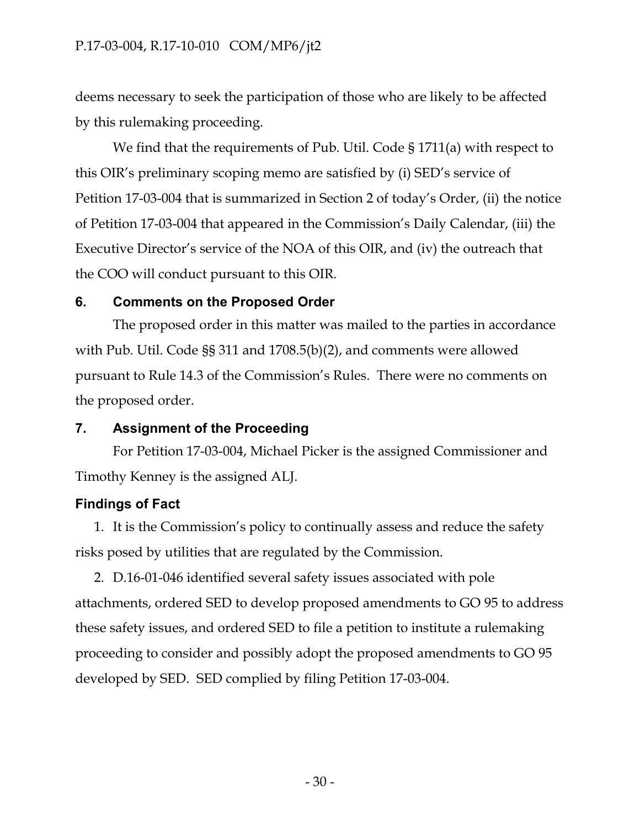deems necessary to seek the participation of those who are likely to be affected by this rulemaking proceeding.

We find that the requirements of Pub. Util. Code § 1711(a) with respect to this OIR's preliminary scoping memo are satisfied by (i) SED's service of Petition 17-03-004 that is summarized in Section 2 of today's Order, (ii) the notice of Petition 17-03-004 that appeared in the Commission's Daily Calendar, (iii) the Executive Director's service of the NOA of this OIR, and (iv) the outreach that the COO will conduct pursuant to this OIR.

## **6. Comments on the Proposed Order**

The proposed order in this matter was mailed to the parties in accordance with Pub. Util. Code §§ 311 and 1708.5(b)(2), and comments were allowed pursuant to Rule 14.3 of the Commission's Rules. There were no comments on the proposed order.

## **7. Assignment of the Proceeding**

For Petition 17-03-004, Michael Picker is the assigned Commissioner and Timothy Kenney is the assigned ALJ.

## **Findings of Fact**

1. It is the Commission's policy to continually assess and reduce the safety risks posed by utilities that are regulated by the Commission.

2. D.16-01-046 identified several safety issues associated with pole attachments, ordered SED to develop proposed amendments to GO 95 to address these safety issues, and ordered SED to file a petition to institute a rulemaking proceeding to consider and possibly adopt the proposed amendments to GO 95 developed by SED. SED complied by filing Petition 17-03-004.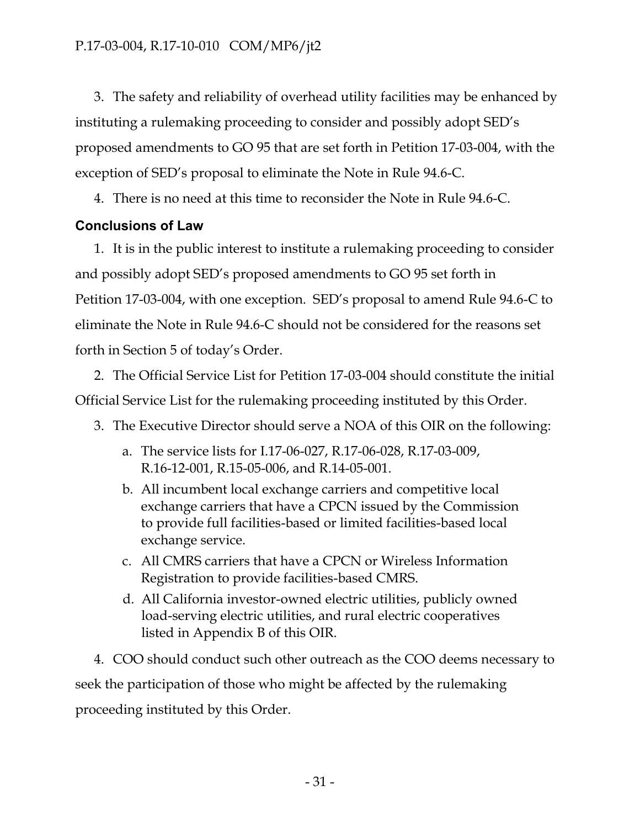3. The safety and reliability of overhead utility facilities may be enhanced by instituting a rulemaking proceeding to consider and possibly adopt SED's proposed amendments to GO 95 that are set forth in Petition 17-03-004, with the exception of SED's proposal to eliminate the Note in Rule 94.6-C.

4. There is no need at this time to reconsider the Note in Rule 94.6-C.

## **Conclusions of Law**

1. It is in the public interest to institute a rulemaking proceeding to consider and possibly adopt SED's proposed amendments to GO 95 set forth in Petition 17-03-004, with one exception. SED's proposal to amend Rule 94.6-C to eliminate the Note in Rule 94.6-C should not be considered for the reasons set forth in Section 5 of today's Order.

2. The Official Service List for Petition 17-03-004 should constitute the initial Official Service List for the rulemaking proceeding instituted by this Order.

- 3. The Executive Director should serve a NOA of this OIR on the following:
	- a. The service lists for I.17-06-027, R.17-06-028, R.17-03-009, R.16-12-001, R.15-05-006, and R.14-05-001.
	- b. All incumbent local exchange carriers and competitive local exchange carriers that have a CPCN issued by the Commission to provide full facilities-based or limited facilities-based local exchange service.
	- c. All CMRS carriers that have a CPCN or Wireless Information Registration to provide facilities-based CMRS.
	- d. All California investor-owned electric utilities, publicly owned load-serving electric utilities, and rural electric cooperatives listed in Appendix B of this OIR.

4. COO should conduct such other outreach as the COO deems necessary to seek the participation of those who might be affected by the rulemaking proceeding instituted by this Order.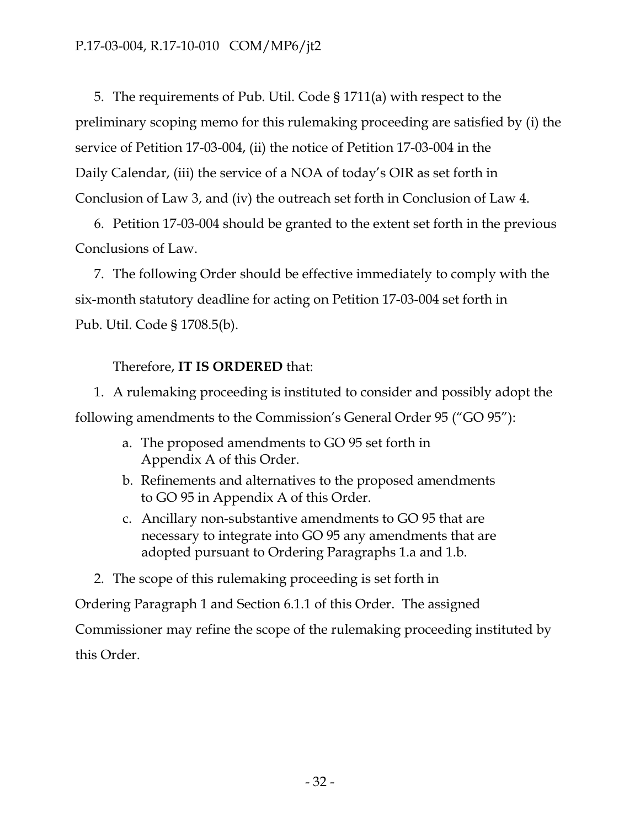5. The requirements of Pub. Util. Code § 1711(a) with respect to the preliminary scoping memo for this rulemaking proceeding are satisfied by (i) the service of Petition 17-03-004, (ii) the notice of Petition 17-03-004 in the Daily Calendar, (iii) the service of a NOA of today's OIR as set forth in Conclusion of Law 3, and (iv) the outreach set forth in Conclusion of Law 4.

6. Petition 17-03-004 should be granted to the extent set forth in the previous Conclusions of Law.

7. The following Order should be effective immediately to comply with the six-month statutory deadline for acting on Petition 17-03-004 set forth in Pub. Util. Code § 1708.5(b).

## Therefore, **IT IS ORDERED** that:

1. A rulemaking proceeding is instituted to consider and possibly adopt the following amendments to the Commission's General Order 95 ("GO 95"):

- a. The proposed amendments to GO 95 set forth in Appendix A of this Order.
- b. Refinements and alternatives to the proposed amendments to GO 95 in Appendix A of this Order.
- c. Ancillary non-substantive amendments to GO 95 that are necessary to integrate into GO 95 any amendments that are adopted pursuant to Ordering Paragraphs 1.a and 1.b.

2. The scope of this rulemaking proceeding is set forth in Ordering Paragraph 1 and Section 6.1.1 of this Order. The assigned Commissioner may refine the scope of the rulemaking proceeding instituted by this Order.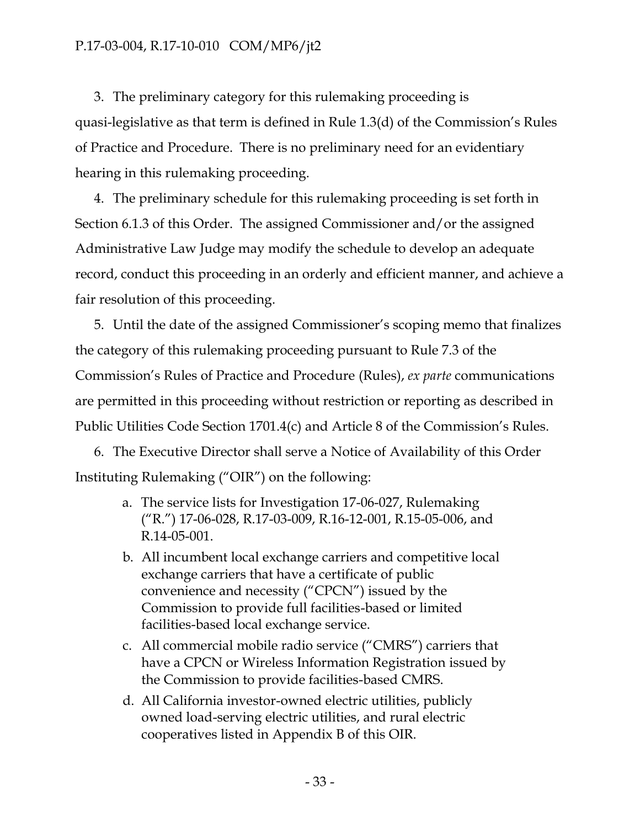3. The preliminary category for this rulemaking proceeding is quasi-legislative as that term is defined in Rule 1.3(d) of the Commission's Rules of Practice and Procedure. There is no preliminary need for an evidentiary hearing in this rulemaking proceeding.

4. The preliminary schedule for this rulemaking proceeding is set forth in Section 6.1.3 of this Order. The assigned Commissioner and/or the assigned Administrative Law Judge may modify the schedule to develop an adequate record, conduct this proceeding in an orderly and efficient manner, and achieve a fair resolution of this proceeding.

5. Until the date of the assigned Commissioner's scoping memo that finalizes the category of this rulemaking proceeding pursuant to Rule 7.3 of the Commission's Rules of Practice and Procedure (Rules), *ex parte* communications are permitted in this proceeding without restriction or reporting as described in Public Utilities Code Section 1701.4(c) and Article 8 of the Commission's Rules.

6. The Executive Director shall serve a Notice of Availability of this Order Instituting Rulemaking ("OIR") on the following:

- a. The service lists for Investigation 17-06-027, Rulemaking ("R.") 17-06-028, R.17-03-009, R.16-12-001, R.15-05-006, and R.14-05-001.
- b. All incumbent local exchange carriers and competitive local exchange carriers that have a certificate of public convenience and necessity ("CPCN") issued by the Commission to provide full facilities-based or limited facilities-based local exchange service.
- c. All commercial mobile radio service ("CMRS") carriers that have a CPCN or Wireless Information Registration issued by the Commission to provide facilities-based CMRS.
- d. All California investor-owned electric utilities, publicly owned load-serving electric utilities, and rural electric cooperatives listed in Appendix B of this OIR.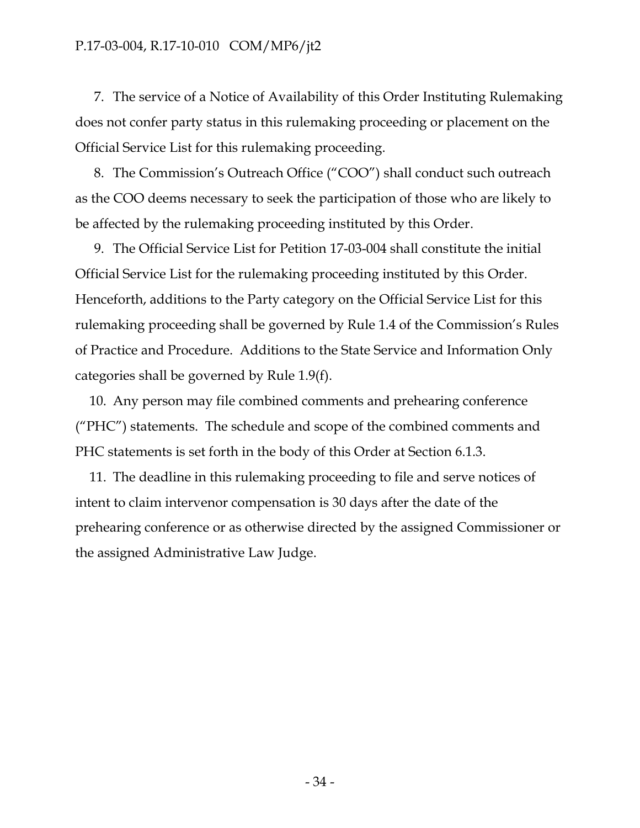#### P.17-03-004, R.17-10-010 COM/MP6/jt2

7. The service of a Notice of Availability of this Order Instituting Rulemaking does not confer party status in this rulemaking proceeding or placement on the Official Service List for this rulemaking proceeding.

8. The Commission's Outreach Office ("COO") shall conduct such outreach as the COO deems necessary to seek the participation of those who are likely to be affected by the rulemaking proceeding instituted by this Order.

9. The Official Service List for Petition 17-03-004 shall constitute the initial Official Service List for the rulemaking proceeding instituted by this Order. Henceforth, additions to the Party category on the Official Service List for this rulemaking proceeding shall be governed by Rule 1.4 of the Commission's Rules of Practice and Procedure. Additions to the State Service and Information Only categories shall be governed by Rule 1.9(f).

10. Any person may file combined comments and prehearing conference ("PHC") statements. The schedule and scope of the combined comments and PHC statements is set forth in the body of this Order at Section 6.1.3.

11. The deadline in this rulemaking proceeding to file and serve notices of intent to claim intervenor compensation is 30 days after the date of the prehearing conference or as otherwise directed by the assigned Commissioner or the assigned Administrative Law Judge.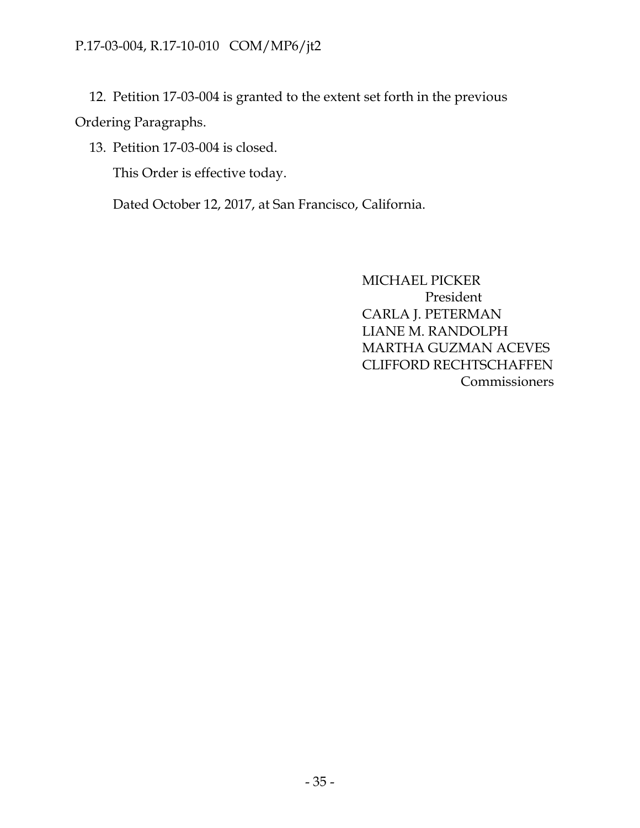## P.17-03-004, R.17-10-010 COM/MP6/jt2

12. Petition 17-03-004 is granted to the extent set forth in the previous Ordering Paragraphs.

13. Petition 17-03-004 is closed.

This Order is effective today.

Dated October 12, 2017, at San Francisco, California.

MICHAEL PICKER President CARLA J. PETERMAN LIANE M. RANDOLPH MARTHA GUZMAN ACEVES CLIFFORD RECHTSCHAFFEN Commissioners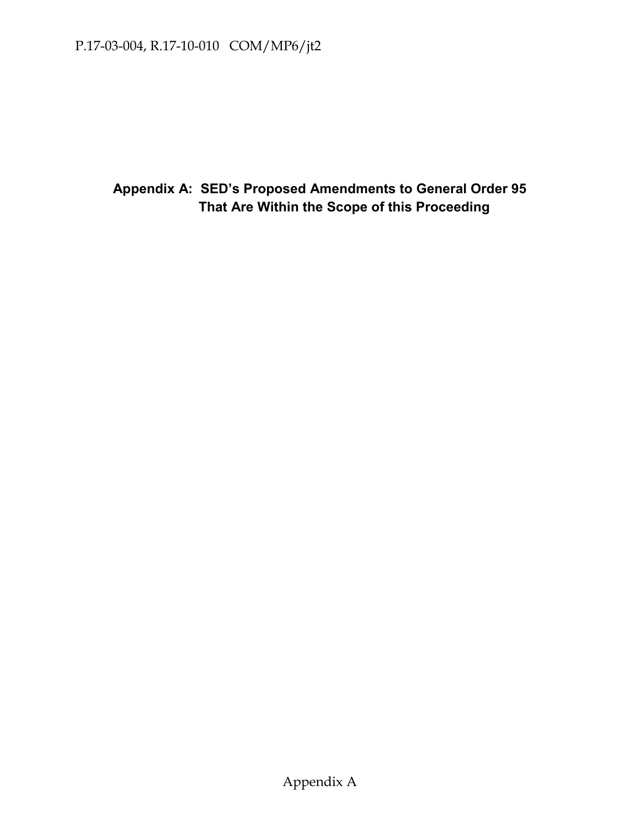**Appendix A: SED's Proposed Amendments to General Order 95 That Are Within the Scope of this Proceeding**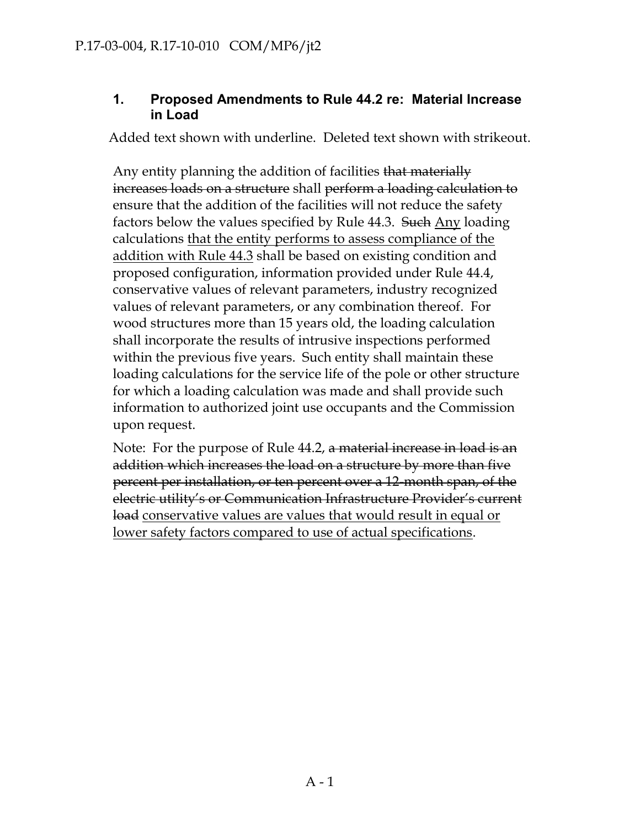### **1. Proposed Amendments to Rule 44.2 re: Material Increase in Load**

Added text shown with underline. Deleted text shown with strikeout.

Any entity planning the addition of facilities that materially increases loads on a structure shall perform a loading calculation to ensure that the addition of the facilities will not reduce the safety factors below the values specified by Rule 44.3. Such Any loading calculations that the entity performs to assess compliance of the addition with Rule 44.3 shall be based on existing condition and proposed configuration, information provided under Rule 44.4, conservative values of relevant parameters, industry recognized values of relevant parameters, or any combination thereof. For wood structures more than 15 years old, the loading calculation shall incorporate the results of intrusive inspections performed within the previous five years. Such entity shall maintain these loading calculations for the service life of the pole or other structure for which a loading calculation was made and shall provide such information to authorized joint use occupants and the Commission upon request.

Note: For the purpose of Rule 44.2, a material increase in load is an addition which increases the load on a structure by more than five percent per installation, or ten percent over a 12-month span, of the electric utility's or Communication Infrastructure Provider's current load conservative values are values that would result in equal or lower safety factors compared to use of actual specifications.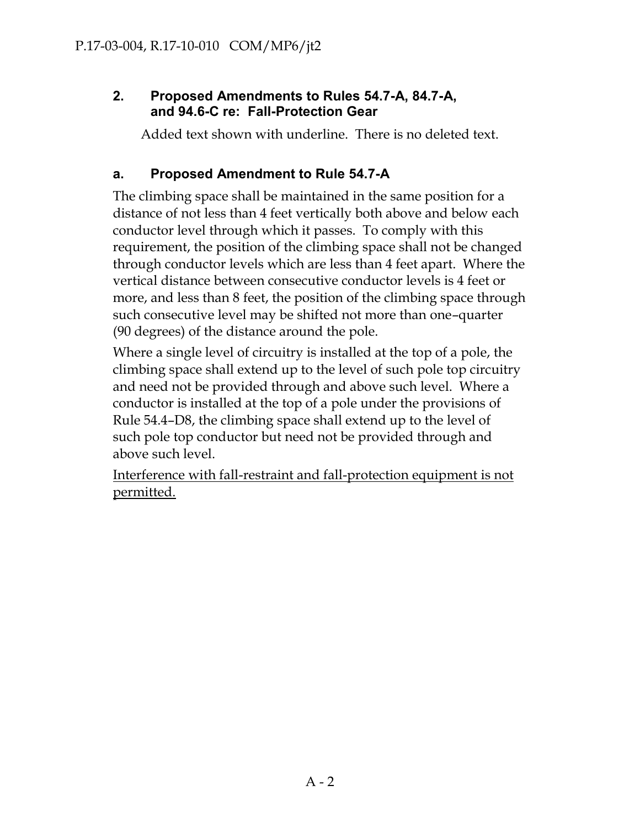## **2. Proposed Amendments to Rules 54.7-A, 84.7-A, and 94.6-C re: Fall-Protection Gear**

Added text shown with underline. There is no deleted text.

## **a. Proposed Amendment to Rule 54.7-A**

The climbing space shall be maintained in the same position for a distance of not less than 4 feet vertically both above and below each conductor level through which it passes. To comply with this requirement, the position of the climbing space shall not be changed through conductor levels which are less than 4 feet apart. Where the vertical distance between consecutive conductor levels is 4 feet or more, and less than 8 feet, the position of the climbing space through such consecutive level may be shifted not more than one–quarter (90 degrees) of the distance around the pole.

Where a single level of circuitry is installed at the top of a pole, the climbing space shall extend up to the level of such pole top circuitry and need not be provided through and above such level. Where a conductor is installed at the top of a pole under the provisions of Rule 54.4–D8, the climbing space shall extend up to the level of such pole top conductor but need not be provided through and above such level.

Interference with fall-restraint and fall-protection equipment is not permitted.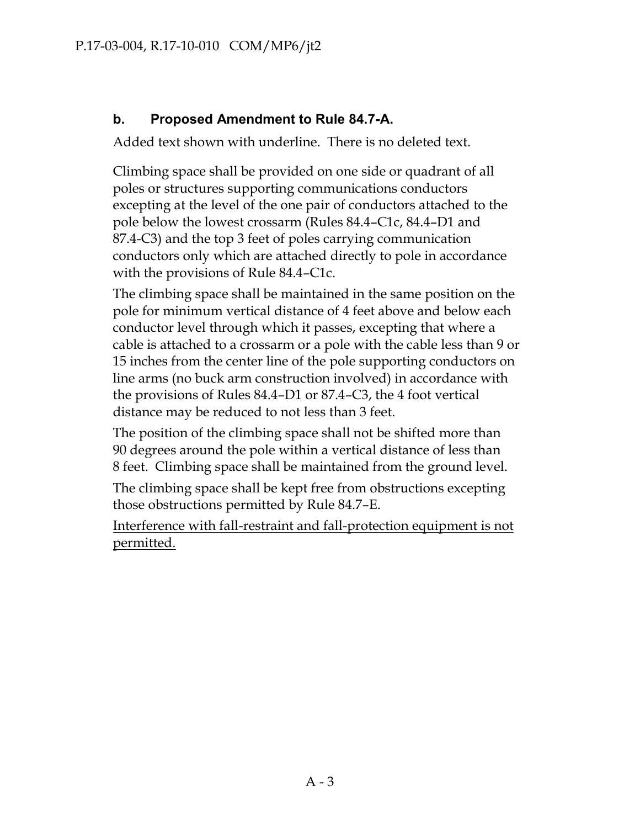## **b. Proposed Amendment to Rule 84.7-A.**

Added text shown with underline. There is no deleted text.

Climbing space shall be provided on one side or quadrant of all poles or structures supporting communications conductors excepting at the level of the one pair of conductors attached to the pole below the lowest crossarm (Rules 84.4–C1c, 84.4–D1 and 87.4-C3) and the top 3 feet of poles carrying communication conductors only which are attached directly to pole in accordance with the provisions of Rule 84.4–C1c.

The climbing space shall be maintained in the same position on the pole for minimum vertical distance of 4 feet above and below each conductor level through which it passes, excepting that where a cable is attached to a crossarm or a pole with the cable less than 9 or 15 inches from the center line of the pole supporting conductors on line arms (no buck arm construction involved) in accordance with the provisions of Rules 84.4–D1 or 87.4–C3, the 4 foot vertical distance may be reduced to not less than 3 feet.

The position of the climbing space shall not be shifted more than 90 degrees around the pole within a vertical distance of less than 8 feet. Climbing space shall be maintained from the ground level.

The climbing space shall be kept free from obstructions excepting those obstructions permitted by Rule 84.7–E.

Interference with fall-restraint and fall-protection equipment is not permitted.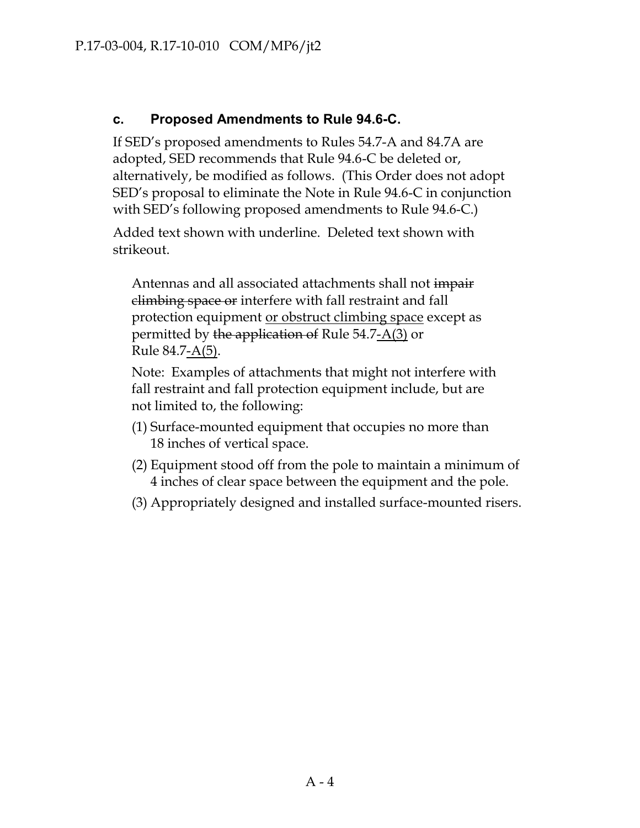## **c. Proposed Amendments to Rule 94.6-C.**

If SED's proposed amendments to Rules 54.7-A and 84.7A are adopted, SED recommends that Rule 94.6-C be deleted or, alternatively, be modified as follows. (This Order does not adopt SED's proposal to eliminate the Note in Rule 94.6-C in conjunction with SED's following proposed amendments to Rule 94.6-C.)

Added text shown with underline. Deleted text shown with strikeout.

Antennas and all associated attachments shall not impair climbing space or interfere with fall restraint and fall protection equipment <u>or obstruct climbing space</u> except as permitted by the application of Rule 54.7-A(3) or Rule 84.7-A(5).

Note: Examples of attachments that might not interfere with fall restraint and fall protection equipment include, but are not limited to, the following:

- (1) Surface-mounted equipment that occupies no more than 18 inches of vertical space.
- (2) Equipment stood off from the pole to maintain a minimum of 4 inches of clear space between the equipment and the pole.
- (3) Appropriately designed and installed surface-mounted risers.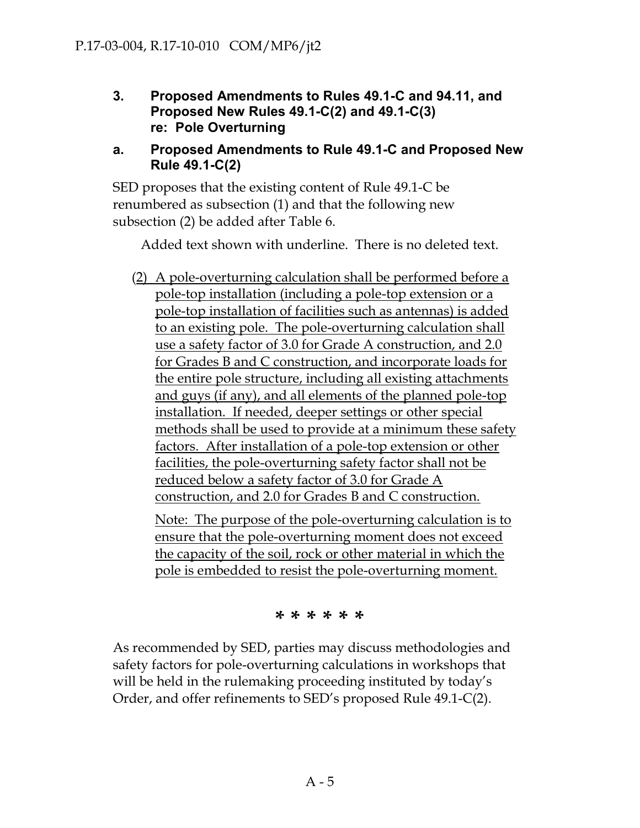**3. Proposed Amendments to Rules 49.1-C and 94.11, and Proposed New Rules 49.1-C(2) and 49.1-C(3) re: Pole Overturning** 

#### **a. Proposed Amendments to Rule 49.1-C and Proposed New Rule 49.1-C(2)**

SED proposes that the existing content of Rule 49.1-C be renumbered as subsection (1) and that the following new subsection (2) be added after Table 6.

Added text shown with underline. There is no deleted text.

(2) A pole-overturning calculation shall be performed before a pole-top installation (including a pole-top extension or a pole-top installation of facilities such as antennas) is added to an existing pole. The pole-overturning calculation shall use a safety factor of 3.0 for Grade A construction, and 2.0 for Grades B and C construction, and incorporate loads for the entire pole structure, including all existing attachments and guys (if any), and all elements of the planned pole-top installation. If needed, deeper settings or other special methods shall be used to provide at a minimum these safety factors. After installation of a pole-top extension or other facilities, the pole-overturning safety factor shall not be reduced below a safety factor of 3.0 for Grade A construction, and 2.0 for Grades B and C construction.

Note: The purpose of the pole-overturning calculation is to ensure that the pole-overturning moment does not exceed the capacity of the soil, rock or other material in which the pole is embedded to resist the pole-overturning moment.

**\* \* \* \* \* \***

As recommended by SED, parties may discuss methodologies and safety factors for pole-overturning calculations in workshops that will be held in the rulemaking proceeding instituted by today's Order, and offer refinements to SED's proposed Rule 49.1-C(2).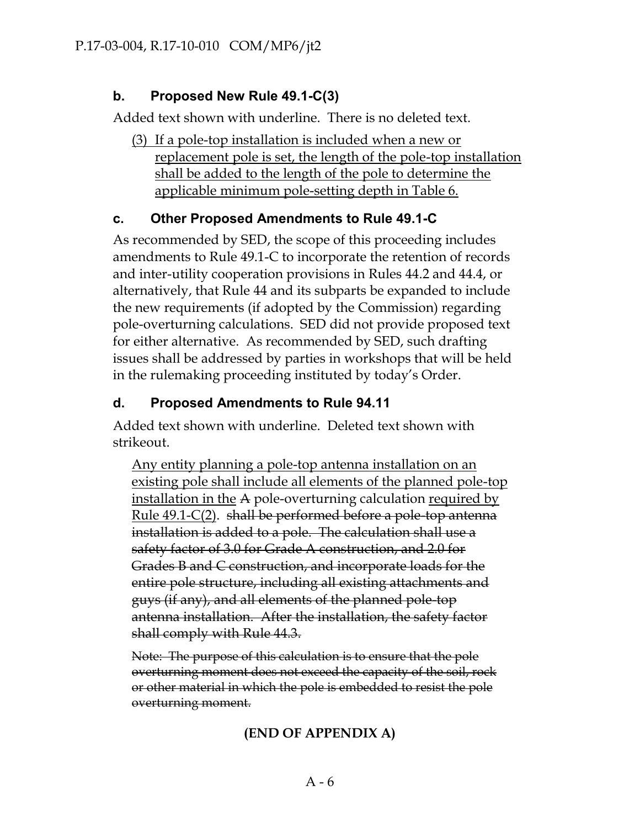## **b. Proposed New Rule 49.1-C(3)**

Added text shown with underline. There is no deleted text.

(3) If a pole-top installation is included when a new or replacement pole is set, the length of the pole-top installation shall be added to the length of the pole to determine the applicable minimum pole-setting depth in Table 6.

## **c. Other Proposed Amendments to Rule 49.1-C**

As recommended by SED, the scope of this proceeding includes amendments to Rule 49.1-C to incorporate the retention of records and inter-utility cooperation provisions in Rules 44.2 and 44.4, or alternatively, that Rule 44 and its subparts be expanded to include the new requirements (if adopted by the Commission) regarding pole-overturning calculations. SED did not provide proposed text for either alternative. As recommended by SED, such drafting issues shall be addressed by parties in workshops that will be held in the rulemaking proceeding instituted by today's Order.

## **d. Proposed Amendments to Rule 94.11**

Added text shown with underline. Deleted text shown with strikeout.

Any entity planning a pole-top antenna installation on an existing pole shall include all elements of the planned pole-top installation in the A pole-overturning calculation required by Rule 49.1-C(2). shall be performed before a pole-top antenna installation is added to a pole. The calculation shall use a safety factor of 3.0 for Grade A construction, and 2.0 for Grades B and C construction, and incorporate loads for the entire pole structure, including all existing attachments and guys (if any), and all elements of the planned pole-top antenna installation. After the installation, the safety factor shall comply with Rule 44.3.

Note: The purpose of this calculation is to ensure that the pole overturning moment does not exceed the capacity of the soil, rock or other material in which the pole is embedded to resist the pole overturning moment.

## **(END OF APPENDIX A)**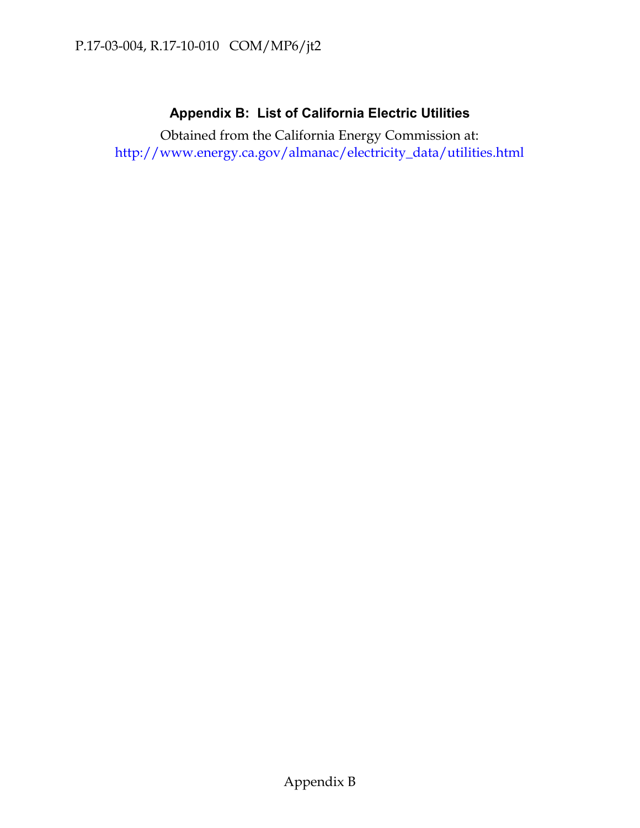## **Appendix B: List of California Electric Utilities**

Obtained from the California Energy Commission at: [http://www.energy.ca.gov/almanac/electricity\\_data/utilities.html](http://www.energy.ca.gov/almanac/electricity_data/utilities.html)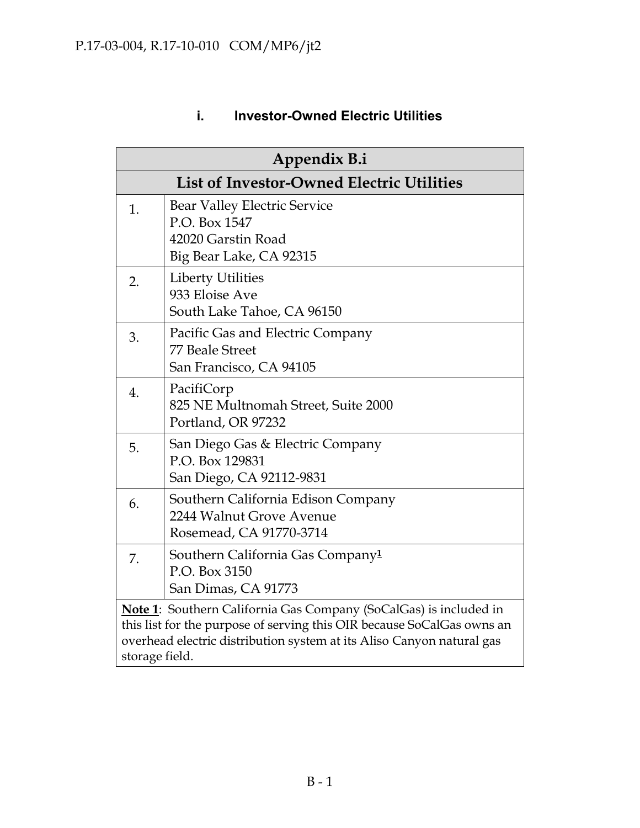| Appendix B.i                                                                                                                                                                                                                           |                                                                                                       |  |
|----------------------------------------------------------------------------------------------------------------------------------------------------------------------------------------------------------------------------------------|-------------------------------------------------------------------------------------------------------|--|
|                                                                                                                                                                                                                                        | <b>List of Investor-Owned Electric Utilities</b>                                                      |  |
| 1.                                                                                                                                                                                                                                     | <b>Bear Valley Electric Service</b><br>P.O. Box 1547<br>42020 Garstin Road<br>Big Bear Lake, CA 92315 |  |
| 2.                                                                                                                                                                                                                                     | <b>Liberty Utilities</b><br>933 Eloise Ave<br>South Lake Tahoe, CA 96150                              |  |
| 3.                                                                                                                                                                                                                                     | Pacific Gas and Electric Company<br>77 Beale Street<br>San Francisco, CA 94105                        |  |
| $\overline{4}$ .                                                                                                                                                                                                                       | PacifiCorp<br>825 NE Multnomah Street, Suite 2000<br>Portland, OR 97232                               |  |
| 5.                                                                                                                                                                                                                                     | San Diego Gas & Electric Company<br>P.O. Box 129831<br>San Diego, CA 92112-9831                       |  |
| 6.                                                                                                                                                                                                                                     | Southern California Edison Company<br>2244 Walnut Grove Avenue<br>Rosemead, CA 91770-3714             |  |
| 7.                                                                                                                                                                                                                                     | Southern California Gas Company <sup>1</sup><br>P.O. Box 3150<br>San Dimas, CA 91773                  |  |
| Note 1: Southern California Gas Company (SoCalGas) is included in<br>this list for the purpose of serving this OIR because SoCalGas owns an<br>overhead electric distribution system at its Aliso Canyon natural gas<br>storage field. |                                                                                                       |  |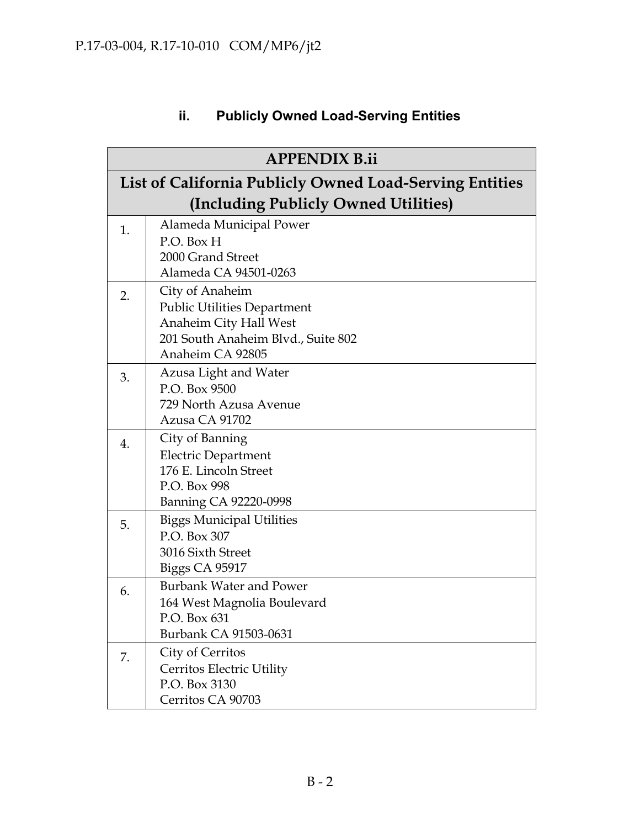# **ii. Publicly Owned Load-Serving Entities**

| <b>APPENDIX B.ii</b> |                                                         |  |  |
|----------------------|---------------------------------------------------------|--|--|
|                      | List of California Publicly Owned Load-Serving Entities |  |  |
|                      | (Including Publicly Owned Utilities)                    |  |  |
| 1.                   | Alameda Municipal Power                                 |  |  |
|                      | P.O. Box H                                              |  |  |
|                      | 2000 Grand Street                                       |  |  |
|                      | Alameda CA 94501-0263                                   |  |  |
| 2.                   | City of Anaheim                                         |  |  |
|                      | <b>Public Utilities Department</b>                      |  |  |
|                      | Anaheim City Hall West                                  |  |  |
|                      | 201 South Anaheim Blvd., Suite 802<br>Anaheim CA 92805  |  |  |
|                      |                                                         |  |  |
| 3.                   | Azusa Light and Water                                   |  |  |
|                      | P.O. Box 9500<br>729 North Azusa Avenue                 |  |  |
|                      | Azusa CA 91702                                          |  |  |
|                      | City of Banning                                         |  |  |
| 4.                   | <b>Electric Department</b>                              |  |  |
|                      | 176 E. Lincoln Street                                   |  |  |
|                      | P.O. Box 998                                            |  |  |
|                      | Banning CA 92220-0998                                   |  |  |
| 5.                   | <b>Biggs Municipal Utilities</b>                        |  |  |
|                      | P.O. Box 307                                            |  |  |
|                      | 3016 Sixth Street                                       |  |  |
|                      | <b>Biggs CA 95917</b>                                   |  |  |
| 6.                   | <b>Burbank Water and Power</b>                          |  |  |
|                      | 164 West Magnolia Boulevard                             |  |  |
|                      | P.O. Box 631                                            |  |  |
|                      | Burbank CA 91503-0631                                   |  |  |
| 7.                   | City of Cerritos                                        |  |  |
|                      | Cerritos Electric Utility                               |  |  |
|                      | P.O. Box 3130                                           |  |  |
|                      | Cerritos CA 90703                                       |  |  |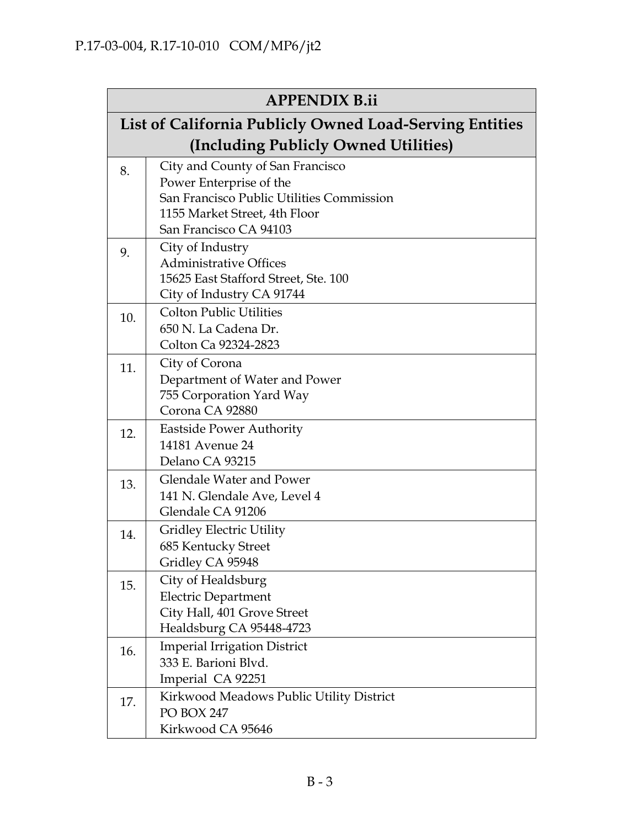| <b>APPENDIX B.ii</b> |                                                         |  |  |
|----------------------|---------------------------------------------------------|--|--|
|                      | List of California Publicly Owned Load-Serving Entities |  |  |
|                      | (Including Publicly Owned Utilities)                    |  |  |
| 8.                   | City and County of San Francisco                        |  |  |
|                      | Power Enterprise of the                                 |  |  |
|                      | San Francisco Public Utilities Commission               |  |  |
|                      | 1155 Market Street, 4th Floor<br>San Francisco CA 94103 |  |  |
|                      |                                                         |  |  |
| 9.                   | City of Industry<br><b>Administrative Offices</b>       |  |  |
|                      | 15625 East Stafford Street, Ste. 100                    |  |  |
|                      | City of Industry CA 91744                               |  |  |
| 10.                  | <b>Colton Public Utilities</b>                          |  |  |
|                      | 650 N. La Cadena Dr.                                    |  |  |
|                      | Colton Ca 92324-2823                                    |  |  |
| 11.                  | City of Corona                                          |  |  |
|                      | Department of Water and Power                           |  |  |
|                      | 755 Corporation Yard Way                                |  |  |
|                      | Corona CA 92880                                         |  |  |
| 12.                  | <b>Eastside Power Authority</b>                         |  |  |
|                      | 14181 Avenue 24<br>Delano CA 93215                      |  |  |
|                      | <b>Glendale Water and Power</b>                         |  |  |
| 13.                  | 141 N. Glendale Ave, Level 4                            |  |  |
|                      | Glendale CA 91206                                       |  |  |
|                      | <b>Gridley Electric Utility</b>                         |  |  |
| 14.                  | 685 Kentucky Street                                     |  |  |
|                      | Gridley CA 95948                                        |  |  |
| 15.                  | City of Healdsburg                                      |  |  |
|                      | <b>Electric Department</b>                              |  |  |
|                      | City Hall, 401 Grove Street                             |  |  |
|                      | Healdsburg CA 95448-4723                                |  |  |
| 16.                  | <b>Imperial Irrigation District</b>                     |  |  |
|                      | 333 E. Barioni Blvd.                                    |  |  |
|                      | Imperial CA 92251                                       |  |  |
| 17.                  | Kirkwood Meadows Public Utility District                |  |  |
|                      | <b>PO BOX 247</b>                                       |  |  |
|                      | Kirkwood CA 95646                                       |  |  |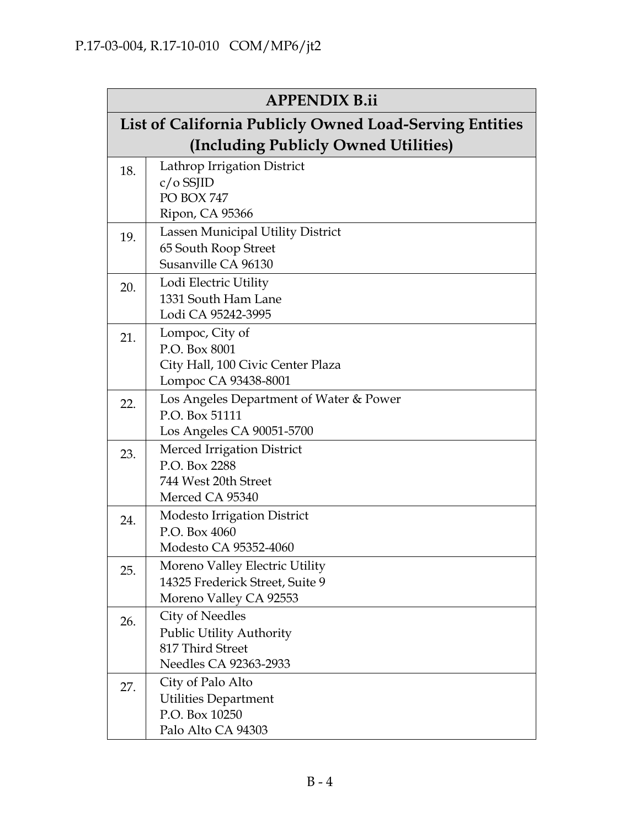| <b>APPENDIX B.ii</b>                                    |                                               |  |  |
|---------------------------------------------------------|-----------------------------------------------|--|--|
| List of California Publicly Owned Load-Serving Entities |                                               |  |  |
|                                                         | (Including Publicly Owned Utilities)          |  |  |
| 18.                                                     | Lathrop Irrigation District                   |  |  |
|                                                         | $c/o$ SSJID                                   |  |  |
|                                                         | PO BOX 747                                    |  |  |
|                                                         | Ripon, CA 95366                               |  |  |
| 19.                                                     | Lassen Municipal Utility District             |  |  |
|                                                         | 65 South Roop Street<br>Susanville CA 96130   |  |  |
|                                                         | Lodi Electric Utility                         |  |  |
| 20.                                                     | 1331 South Ham Lane                           |  |  |
|                                                         | Lodi CA 95242-3995                            |  |  |
| 21.                                                     | Lompoc, City of                               |  |  |
|                                                         | P.O. Box 8001                                 |  |  |
|                                                         | City Hall, 100 Civic Center Plaza             |  |  |
|                                                         | Lompoc CA 93438-8001                          |  |  |
| 22.                                                     | Los Angeles Department of Water & Power       |  |  |
|                                                         | P.O. Box 51111                                |  |  |
|                                                         | Los Angeles CA 90051-5700                     |  |  |
| 23.                                                     | Merced Irrigation District<br>P.O. Box 2288   |  |  |
|                                                         | 744 West 20th Street                          |  |  |
|                                                         | Merced CA 95340                               |  |  |
| 24.                                                     | <b>Modesto Irrigation District</b>            |  |  |
|                                                         | P.O. Box 4060                                 |  |  |
|                                                         | Modesto CA 95352-4060                         |  |  |
| 25.                                                     | Moreno Valley Electric Utility                |  |  |
|                                                         | 14325 Frederick Street, Suite 9               |  |  |
|                                                         | Moreno Valley CA 92553                        |  |  |
| 26.                                                     | <b>City of Needles</b>                        |  |  |
|                                                         | <b>Public Utility Authority</b>               |  |  |
|                                                         | 817 Third Street                              |  |  |
|                                                         | Needles CA 92363-2933                         |  |  |
| 27.                                                     | City of Palo Alto                             |  |  |
|                                                         | <b>Utilities Department</b><br>P.O. Box 10250 |  |  |
|                                                         | Palo Alto CA 94303                            |  |  |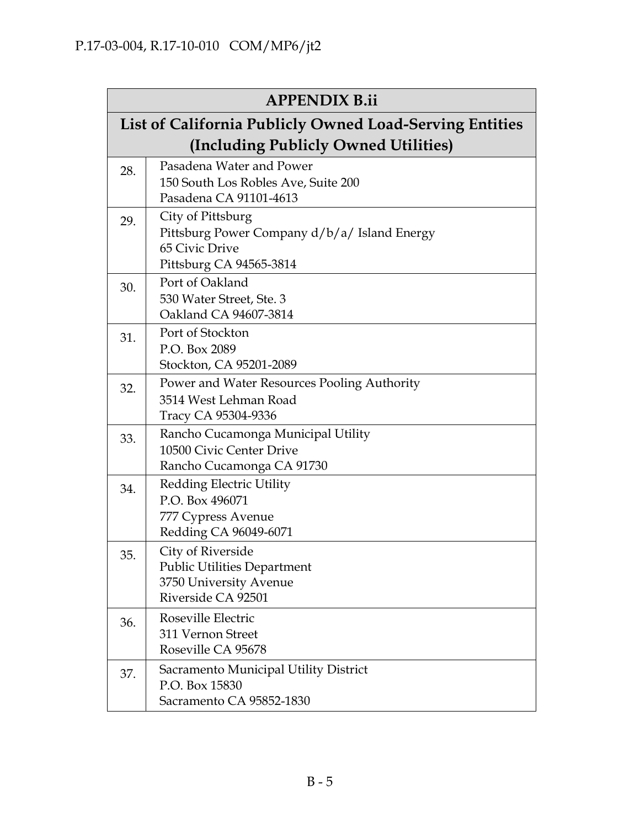|                                                         | <b>APPENDIX B.ii</b>                                                 |  |  |
|---------------------------------------------------------|----------------------------------------------------------------------|--|--|
| List of California Publicly Owned Load-Serving Entities |                                                                      |  |  |
|                                                         | (Including Publicly Owned Utilities)                                 |  |  |
| 28.                                                     | Pasadena Water and Power<br>150 South Los Robles Ave, Suite 200      |  |  |
|                                                         | Pasadena CA 91101-4613                                               |  |  |
| 29.                                                     | City of Pittsburg                                                    |  |  |
|                                                         | Pittsburg Power Company d/b/a/ Island Energy<br>65 Civic Drive       |  |  |
|                                                         | Pittsburg CA 94565-3814                                              |  |  |
| 30.                                                     | Port of Oakland                                                      |  |  |
|                                                         | 530 Water Street, Ste. 3<br>Oakland CA 94607-3814                    |  |  |
| 31.                                                     | Port of Stockton                                                     |  |  |
|                                                         | P.O. Box 2089                                                        |  |  |
|                                                         | Stockton, CA 95201-2089                                              |  |  |
| 32.                                                     | Power and Water Resources Pooling Authority<br>3514 West Lehman Road |  |  |
|                                                         | Tracy CA 95304-9336                                                  |  |  |
| 33.                                                     | Rancho Cucamonga Municipal Utility                                   |  |  |
|                                                         | 10500 Civic Center Drive                                             |  |  |
|                                                         | Rancho Cucamonga CA 91730                                            |  |  |
| 34.                                                     | <b>Redding Electric Utility</b><br>P.O. Box 496071                   |  |  |
|                                                         | 777 Cypress Avenue                                                   |  |  |
|                                                         | Redding CA 96049-6071                                                |  |  |
| 35.                                                     | City of Riverside                                                    |  |  |
|                                                         | <b>Public Utilities Department</b>                                   |  |  |
|                                                         | 3750 University Avenue                                               |  |  |
|                                                         | Riverside CA 92501                                                   |  |  |
| 36.                                                     | Roseville Electric<br>311 Vernon Street                              |  |  |
|                                                         | Roseville CA 95678                                                   |  |  |
| 37.                                                     | Sacramento Municipal Utility District                                |  |  |
|                                                         | P.O. Box 15830                                                       |  |  |
|                                                         | Sacramento CA 95852-1830                                             |  |  |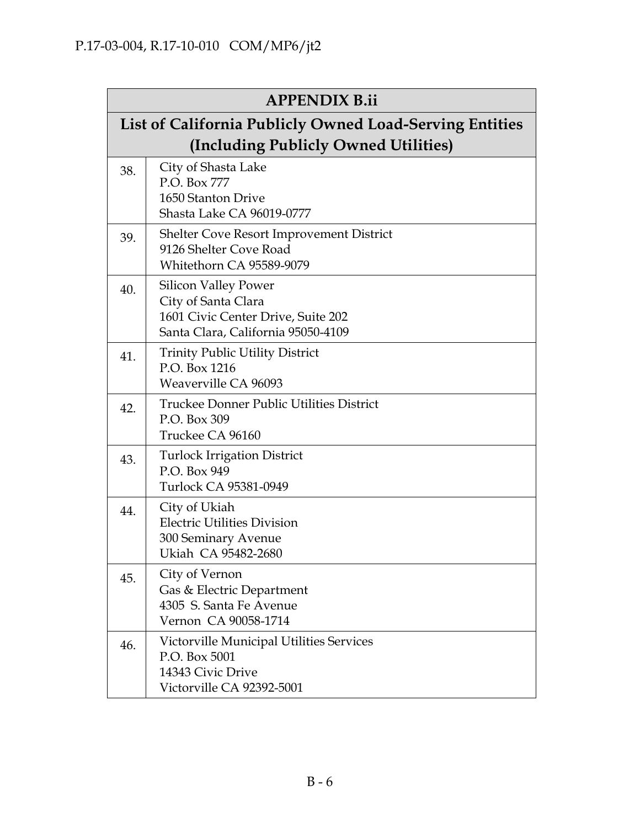|     | <b>APPENDIX B.ii</b>                                                                                                           |  |  |
|-----|--------------------------------------------------------------------------------------------------------------------------------|--|--|
|     | List of California Publicly Owned Load-Serving Entities<br>(Including Publicly Owned Utilities)                                |  |  |
| 38. | City of Shasta Lake<br>P.O. Box 777<br>1650 Stanton Drive<br>Shasta Lake CA 96019-0777                                         |  |  |
| 39. | Shelter Cove Resort Improvement District<br>9126 Shelter Cove Road<br>Whitethorn CA 95589-9079                                 |  |  |
| 40. | <b>Silicon Valley Power</b><br>City of Santa Clara<br>1601 Civic Center Drive, Suite 202<br>Santa Clara, California 95050-4109 |  |  |
| 41. | <b>Trinity Public Utility District</b><br>P.O. Box 1216<br>Weaverville CA 96093                                                |  |  |
| 42. | Truckee Donner Public Utilities District<br>P.O. Box 309<br>Truckee CA 96160                                                   |  |  |
| 43. | <b>Turlock Irrigation District</b><br>P.O. Box 949<br>Turlock CA 95381-0949                                                    |  |  |
| 44. | City of Ukiah<br><b>Electric Utilities Division</b><br>300 Seminary Avenue<br>Ukiah CA 95482-2680                              |  |  |
| 45. | City of Vernon<br>Gas & Electric Department<br>4305 S. Santa Fe Avenue<br>Vernon CA 90058-1714                                 |  |  |
| 46. | Victorville Municipal Utilities Services<br>P.O. Box 5001<br>14343 Civic Drive<br>Victorville CA 92392-5001                    |  |  |